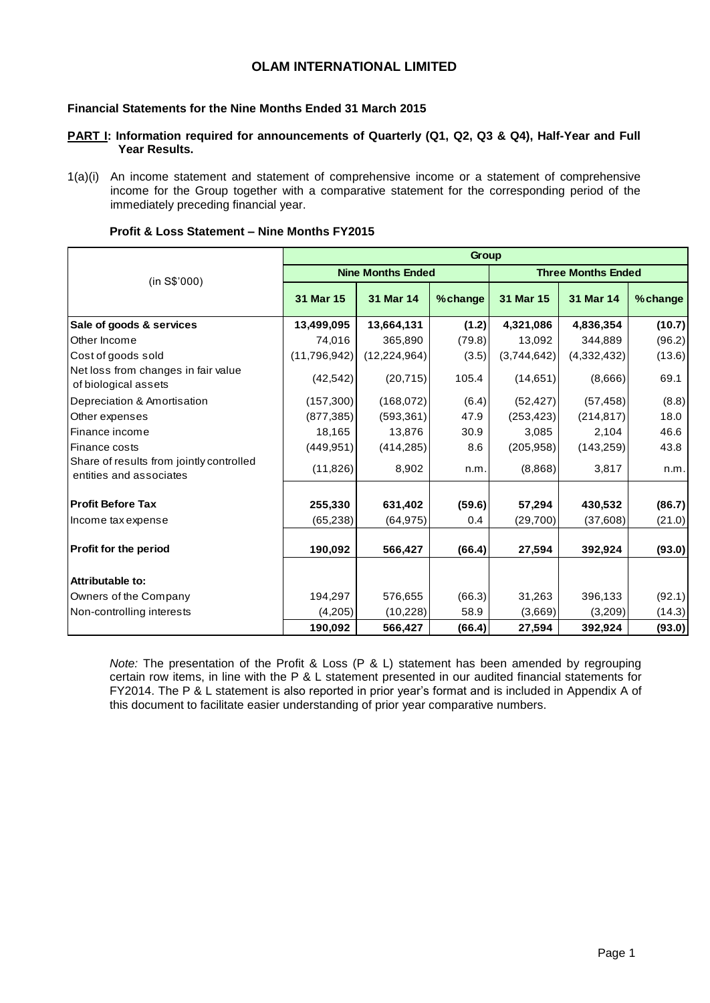## **OLAM INTERNATIONAL LIMITED**

## **Financial Statements for the Nine Months Ended 31 March 2015**

### **PART I: Information required for announcements of Quarterly (Q1, Q2, Q3 & Q4), Half-Year and Full Year Results.**

1(a)(i) An income statement and statement of comprehensive income or a statement of comprehensive income for the Group together with a comparative statement for the corresponding period of the immediately preceding financial year.

|                                                                     |                |                          | Group   |             |                           |         |
|---------------------------------------------------------------------|----------------|--------------------------|---------|-------------|---------------------------|---------|
| (in S\$'000)                                                        |                | <b>Nine Months Ended</b> |         |             | <b>Three Months Ended</b> |         |
|                                                                     | 31 Mar 15      | 31 Mar 14                | %change | 31 Mar 15   | 31 Mar 14                 | %change |
| Sale of goods & services                                            | 13,499,095     | 13,664,131               | (1.2)   | 4,321,086   | 4,836,354                 | (10.7)  |
| Other Income                                                        | 74,016         | 365,890                  | (79.8)  | 13,092      | 344,889                   | (96.2)  |
| Cost of goods sold                                                  | (11, 796, 942) | (12, 224, 964)           | (3.5)   | (3,744,642) | (4,332,432)               | (13.6)  |
| Net loss from changes in fair value<br>of biological assets         | (42, 542)      | (20, 715)                | 105.4   | (14, 651)   | (8,666)                   | 69.1    |
| Depreciation & Amortisation                                         | (157, 300)     | (168,072)                | (6.4)   | (52, 427)   | (57, 458)                 | (8.8)   |
| Other expenses                                                      | (877, 385)     | (593, 361)               | 47.9    | (253, 423)  | (214, 817)                | 18.0    |
| Finance income                                                      | 18,165         | 13,876                   | 30.9    | 3,085       | 2,104                     | 46.6    |
| Finance costs                                                       | (449, 951)     | (414, 285)               | 8.6     | (205, 958)  | (143, 259)                | 43.8    |
| Share of results from jointly controlled<br>entities and associates | (11, 826)      | 8,902                    | n.m.    | (8,868)     | 3,817                     | n.m.    |
| <b>IProfit Before Tax</b>                                           | 255,330        | 631,402                  | (59.6)  | 57,294      | 430,532                   | (86.7)  |
| Income tax expense                                                  | (65, 238)      | (64, 975)                | 0.4     | (29, 700)   | (37,608)                  | (21.0)  |
| <b>Profit for the period</b>                                        | 190,092        | 566,427                  | (66.4)  | 27,594      | 392,924                   | (93.0)  |
| Attributable to:                                                    |                |                          |         |             |                           |         |
| Owners of the Company                                               | 194,297        | 576,655                  | (66.3)  | 31,263      | 396,133                   | (92.1)  |
| Non-controlling interests                                           | (4,205)        | (10,228)                 | 58.9    | (3,669)     | (3,209)                   | (14.3)  |
|                                                                     | 190,092        | 566,427                  | (66.4)  | 27,594      | 392,924                   | (93.0)  |

### **Profit & Loss Statement – Nine Months FY2015**

*Note:* The presentation of the Profit & Loss (P & L) statement has been amended by regrouping certain row items, in line with the P & L statement presented in our audited financial statements for FY2014. The P & L statement is also reported in prior year's format and is included in Appendix A of this document to facilitate easier understanding of prior year comparative numbers.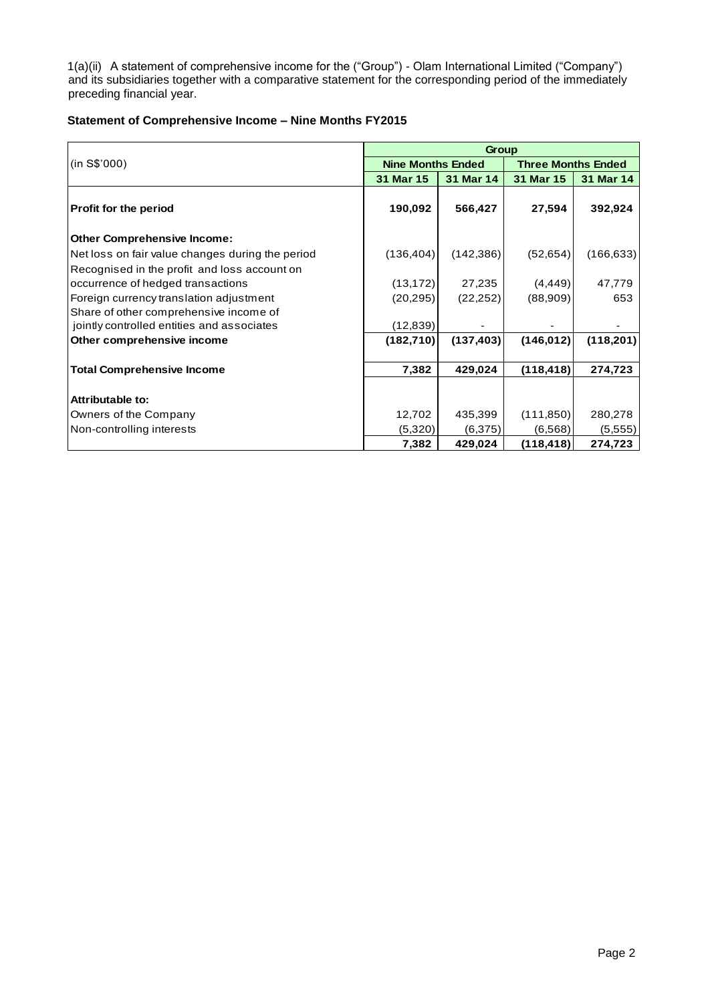1(a)(ii) A statement of comprehensive income for the ("Group") - Olam International Limited ("Company") and its subsidiaries together with a comparative statement for the corresponding period of the immediately preceding financial year.

## **Statement of Comprehensive Income – Nine Months FY2015**

|                                                  |                          | <b>Group</b> |                           |            |
|--------------------------------------------------|--------------------------|--------------|---------------------------|------------|
| (in S\$'000)                                     | <b>Nine Months Ended</b> |              | <b>Three Months Ended</b> |            |
|                                                  | 31 Mar 15                | 31 Mar 14    | 31 Mar 15                 | 31 Mar 14  |
| Profit for the period                            | 190,092                  | 566,427      | 27,594                    | 392,924    |
| <b>Other Comprehensive Income:</b>               |                          |              |                           |            |
| Net loss on fair value changes during the period | (136, 404)               | (142, 386)   | (52, 654)                 | (166, 633) |
| Recognised in the profit and loss account on     |                          |              |                           |            |
| occurrence of hedged transactions                | (13, 172)                | 27,235       | (4, 449)                  | 47,779     |
| Foreign currency translation adjustment          | (20, 295)                | (22, 252)    | (88,909)                  | 653        |
| Share of other comprehensive income of           |                          |              |                           |            |
| jointly controlled entities and associates       | (12, 839)                |              |                           |            |
| Other comprehensive income                       | (182, 710)               | (137, 403)   | (146.012)                 | (118, 201) |
| <b>Total Comprehensive Income</b>                | 7,382                    | 429,024      | (118, 418)                | 274,723    |
| Attributable to:                                 |                          |              |                           |            |
| Owners of the Company                            | 12,702                   | 435,399      | (111, 850)                | 280,278    |
| Non-controlling interests                        | (5,320)                  | (6,375)      | (6,568)                   | (5,555)    |
|                                                  | 7,382                    | 429,024      | (118, 418)                | 274,723    |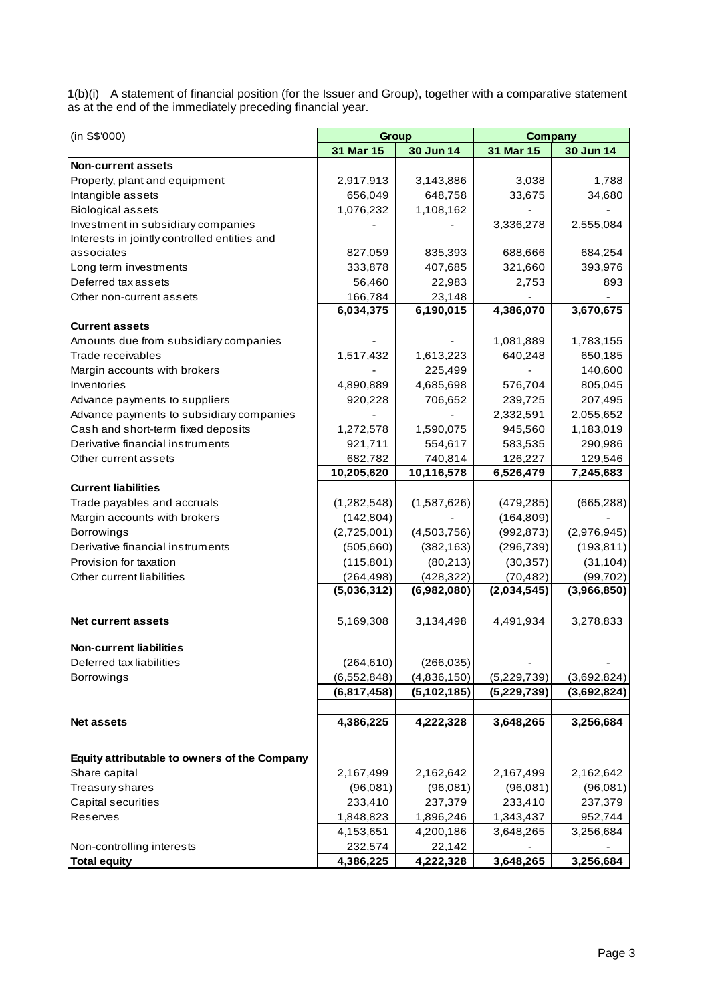1(b)(i) A statement of financial position (for the Issuer and Group), together with a comparative statement as at the end of the immediately preceding financial year.

| (in S\$'000)                                 | Group         |               | <b>Company</b> |             |
|----------------------------------------------|---------------|---------------|----------------|-------------|
|                                              | 31 Mar 15     | 30 Jun 14     | 31 Mar 15      | 30 Jun 14   |
| <b>Non-current assets</b>                    |               |               |                |             |
| Property, plant and equipment                | 2,917,913     | 3,143,886     | 3,038          | 1,788       |
| Intangible assets                            | 656,049       | 648,758       | 33,675         | 34,680      |
| <b>Biological assets</b>                     | 1,076,232     | 1,108,162     |                |             |
| Investment in subsidiary companies           |               |               | 3,336,278      | 2,555,084   |
| Interests in jointly controlled entities and |               |               |                |             |
| associates                                   | 827,059       | 835,393       | 688,666        | 684,254     |
| Long term investments                        | 333,878       | 407,685       | 321,660        | 393,976     |
| Deferred tax assets                          | 56,460        | 22,983        | 2,753          | 893         |
| Other non-current assets                     | 166,784       | 23,148        |                |             |
|                                              | 6,034,375     | 6,190,015     | 4,386,070      | 3,670,675   |
| <b>Current assets</b>                        |               |               |                |             |
| Amounts due from subsidiary companies        |               |               | 1,081,889      | 1,783,155   |
| Trade receivables                            | 1,517,432     | 1,613,223     | 640,248        | 650,185     |
| Margin accounts with brokers                 |               | 225,499       |                | 140,600     |
| Inventories                                  | 4,890,889     | 4,685,698     | 576,704        | 805,045     |
| Advance payments to suppliers                | 920,228       | 706,652       | 239,725        | 207,495     |
| Advance payments to subsidiary companies     |               |               | 2,332,591      | 2,055,652   |
| Cash and short-term fixed deposits           | 1,272,578     | 1,590,075     | 945,560        | 1,183,019   |
| Derivative financial instruments             | 921,711       | 554,617       | 583,535        | 290,986     |
| Other current assets                         | 682,782       | 740,814       | 126,227        | 129,546     |
|                                              | 10,205,620    | 10,116,578    | 6,526,479      | 7,245,683   |
| <b>Current liabilities</b>                   |               |               |                |             |
| Trade payables and accruals                  | (1,282,548)   | (1,587,626)   | (479, 285)     | (665, 288)  |
| Margin accounts with brokers                 | (142, 804)    |               | (164, 809)     |             |
| <b>Borrowings</b>                            | (2,725,001)   | (4,503,756)   | (992, 873)     | (2,976,945) |
| Derivative financial instruments             | (505, 660)    | (382, 163)    | (296, 739)     | (193, 811)  |
| Provision for taxation                       | (115, 801)    | (80, 213)     | (30, 357)      | (31, 104)   |
| Other current liabilities                    | (264, 498)    | (428, 322)    | (70, 482)      | (99, 702)   |
|                                              | (5,036,312)   | (6,982,080)   | (2,034,545)    | (3,966,850) |
|                                              |               |               |                |             |
| <b>Net current assets</b>                    | 5,169,308     | 3,134,498     | 4,491,934      | 3,278,833   |
| <b>Non-current liabilities</b>               |               |               |                |             |
| Deferred tax liabilities                     | (264, 610)    | (266, 035)    |                |             |
| <b>Borrowings</b>                            | (6, 552, 848) | (4,836,150)   | (5,229,739)    | (3,692,824) |
|                                              | (6,817,458)   | (5, 102, 185) | (5,229,739)    | (3,692,824) |
|                                              |               |               |                |             |
| <b>Net assets</b>                            | 4,386,225     | 4,222,328     | 3,648,265      | 3,256,684   |
|                                              |               |               |                |             |
|                                              |               |               |                |             |
| Equity attributable to owners of the Company |               |               |                |             |
| Share capital                                | 2,167,499     | 2,162,642     | 2,167,499      | 2,162,642   |
| Treasury shares                              | (96,081)      | (96,081)      | (96,081)       | (96,081)    |
| Capital securities                           | 233,410       | 237,379       | 233,410        | 237,379     |
| Reserves                                     | 1,848,823     | 1,896,246     | 1,343,437      | 952,744     |
|                                              | 4,153,651     | 4,200,186     | 3,648,265      | 3,256,684   |
| Non-controlling interests                    | 232,574       | 22,142        |                |             |
| <b>Total equity</b>                          | 4,386,225     | 4,222,328     | 3,648,265      | 3,256,684   |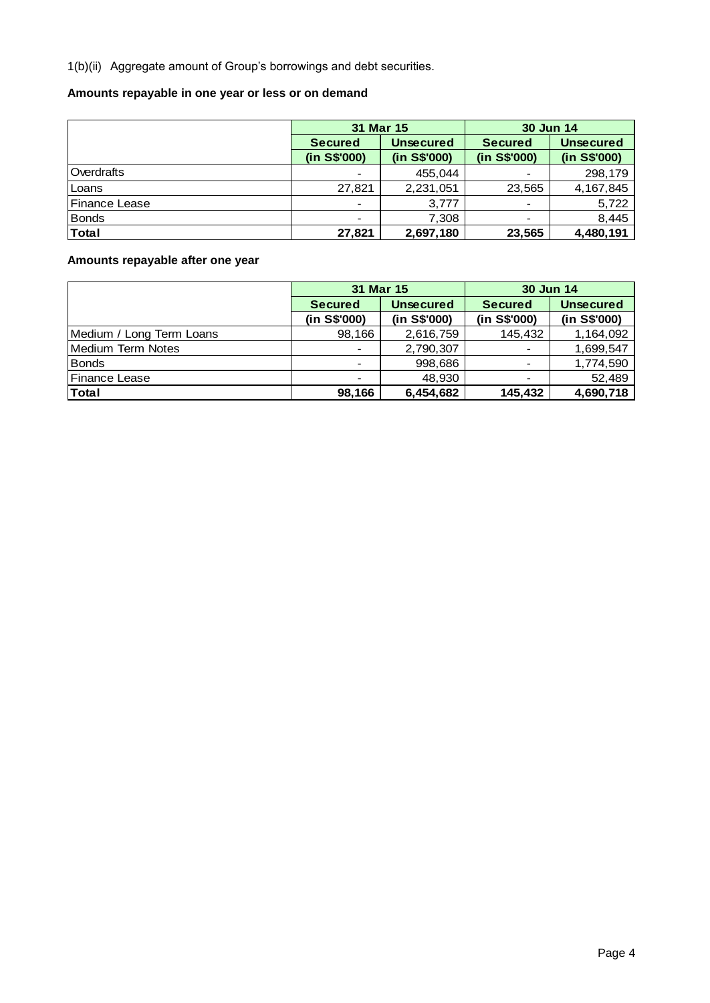1(b)(ii) Aggregate amount of Group's borrowings and debt securities.

## **Amounts repayable in one year or less or on demand**

|               | 31 Mar 15                |                  | 30 Jun 14      |                  |
|---------------|--------------------------|------------------|----------------|------------------|
|               | <b>Secured</b>           | <b>Unsecured</b> | <b>Secured</b> | <b>Unsecured</b> |
|               | (in S\$'000)             | (in S\$'000)     | (in S\$'000)   | (in S\$'000)     |
| Overdrafts    | $\overline{\phantom{a}}$ | 455,044          |                | 298,179          |
| Loans         | 27,821                   | 2,231,051        | 23,565         | 4, 167, 845      |
| Finance Lease | $\overline{\phantom{a}}$ | 3,777            |                | 5,722            |
| <b>Bonds</b>  | $\overline{\phantom{a}}$ | 7.308            |                | 8,445            |
| Total         | 27,821                   | 2,697,180        | 23,565         | 4,480,191        |

# **Amounts repayable after one year**

|                          | 31 Mar 15                |                  | 30 Jun 14                |                  |
|--------------------------|--------------------------|------------------|--------------------------|------------------|
|                          | <b>Secured</b>           | <b>Unsecured</b> | <b>Secured</b>           | <b>Unsecured</b> |
|                          | (in S\$'000)             | (in S\$'000)     | (in S\$'000)             | (in S\$'000)     |
| Medium / Long Term Loans | 98,166                   | 2,616,759        | 145,432                  | 1,164,092        |
| <b>Medium Term Notes</b> | $\overline{\phantom{a}}$ | 2,790,307        |                          | 1,699,547        |
| Bonds                    | $\overline{\phantom{a}}$ | 998,686          |                          | 1,774,590        |
| <b>Finance Lease</b>     | $\overline{\phantom{a}}$ | 48.930           | $\overline{\phantom{a}}$ | 52,489           |
| <b>Total</b>             | 98,166                   | 6,454,682        | 145,432                  | 4,690,718        |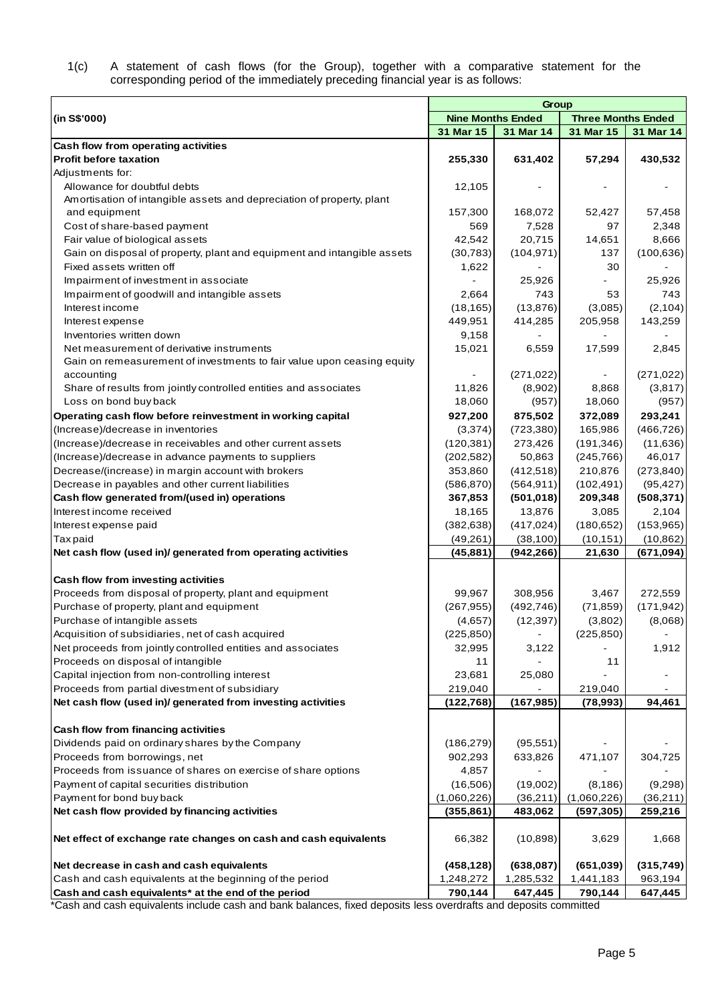#### 1(c) A statement of cash flows (for the Group), together with a comparative statement for the corresponding period of the immediately preceding financial year is as follows:

|                                                                                | Group                    |                         |                           |                         |  |  |  |
|--------------------------------------------------------------------------------|--------------------------|-------------------------|---------------------------|-------------------------|--|--|--|
| (in S\$'000)                                                                   | <b>Nine Months Ended</b> |                         | <b>Three Months Ended</b> |                         |  |  |  |
|                                                                                | 31 Mar 15                | 31 Mar 14               | 31 Mar 15                 | 31 Mar 14               |  |  |  |
| Cash flow from operating activities                                            |                          |                         |                           |                         |  |  |  |
| <b>Profit before taxation</b>                                                  | 255,330                  | 631,402                 | 57,294                    | 430,532                 |  |  |  |
| Adjustments for:                                                               |                          |                         |                           |                         |  |  |  |
| Allowance for doubtful debts                                                   | 12,105                   |                         |                           |                         |  |  |  |
| Amortisation of intangible assets and depreciation of property, plant          |                          |                         |                           |                         |  |  |  |
| and equipment                                                                  | 157,300                  | 168,072                 | 52,427                    | 57,458                  |  |  |  |
| Cost of share-based payment                                                    | 569                      | 7,528                   | 97                        | 2,348                   |  |  |  |
| Fair value of biological assets                                                | 42,542                   | 20,715                  | 14,651                    | 8,666                   |  |  |  |
| Gain on disposal of property, plant and equipment and intangible assets        | (30, 783)                | (104, 971)              | 137                       | (100, 636)              |  |  |  |
| Fixed assets written off                                                       | 1,622                    |                         | 30                        |                         |  |  |  |
| Impairment of investment in associate                                          |                          | 25,926                  |                           | 25,926                  |  |  |  |
| Impairment of goodwill and intangible assets                                   | 2,664                    | 743                     | 53                        | 743                     |  |  |  |
| Interest income                                                                | (18, 165)                | (13, 876)               | (3,085)                   | (2, 104)                |  |  |  |
| Interest expense                                                               | 449,951                  | 414,285                 | 205,958                   | 143,259                 |  |  |  |
| Inventories written down                                                       | 9,158                    |                         |                           |                         |  |  |  |
| Net measurement of derivative instruments                                      | 15,021                   | 6,559                   | 17,599                    | 2,845                   |  |  |  |
| Gain on remeasurement of investments to fair value upon ceasing equity         |                          |                         |                           |                         |  |  |  |
| accounting                                                                     |                          | (271, 022)              |                           | (271, 022)              |  |  |  |
| Share of results from jointly controlled entities and associates               | 11,826                   | (8,902)                 | 8,868                     | (3,817)                 |  |  |  |
| Loss on bond buy back                                                          | 18,060                   | (957)                   | 18,060                    | (957)                   |  |  |  |
| Operating cash flow before reinvestment in working capital                     | 927,200                  | 875,502                 | 372,089                   | 293,241                 |  |  |  |
| (Increase)/decrease in inventories                                             | (3,374)                  | (723, 380)              | 165,986                   | (466, 726)              |  |  |  |
| (Increase)/decrease in receivables and other current assets                    | (120, 381)               | 273,426                 | (191, 346)                | (11,636)                |  |  |  |
| (Increase)/decrease in advance payments to suppliers                           | (202, 582)               | 50,863                  | (245, 766)                | 46,017                  |  |  |  |
| Decrease/(increase) in margin account with brokers                             | 353,860                  | (412, 518)              | 210,876                   | (273, 840)              |  |  |  |
| Decrease in payables and other current liabilities                             | (586, 870)               | (564, 911)              | (102, 491)                | (95, 427)               |  |  |  |
| Cash flow generated from/(used in) operations                                  | 367,853                  | (501, 018)              | 209,348                   | (508, 371)              |  |  |  |
| Interest income received                                                       | 18,165                   | 13,876                  | 3,085                     | 2,104                   |  |  |  |
| Interest expense paid                                                          | (382, 638)               | (417, 024)              | (180, 652)                | (153, 965)              |  |  |  |
| <b>Taxpaid</b><br>Net cash flow (used in)/ generated from operating activities | (49, 261)<br>(45, 881)   | (38, 100)<br>(942, 266) | (10, 151)<br>21,630       | (10, 862)<br>(671, 094) |  |  |  |
|                                                                                |                          |                         |                           |                         |  |  |  |
| <b>Cash flow from investing activities</b>                                     |                          |                         |                           |                         |  |  |  |
| Proceeds from disposal of property, plant and equipment                        | 99,967                   | 308,956                 | 3,467                     | 272,559                 |  |  |  |
| Purchase of property, plant and equipment                                      | (267, 955)               | (492, 746)              | (71, 859)                 | (171, 942)              |  |  |  |
| Purchase of intangible assets                                                  | (4,657)                  | (12, 397)               | (3,802)                   | (8,068)                 |  |  |  |
| Acquisition of subsidiaries, net of cash acquired                              | (225, 850)               |                         | (225, 850)                |                         |  |  |  |
| Net proceeds from jointly controlled entities and associates                   | 32,995                   | 3,122                   |                           | 1,912                   |  |  |  |
| Proceeds on disposal of intangible                                             | 11                       |                         | 11                        |                         |  |  |  |
| Capital injection from non-controlling interest                                | 23,681                   | 25,080                  |                           |                         |  |  |  |
| Proceeds from partial divestment of subsidiary                                 | 219,040                  |                         | 219,040                   |                         |  |  |  |
| Net cash flow (used in)/ generated from investing activities                   | (122, 768)               | (167, 985)              | (78, 993)                 | 94,461                  |  |  |  |
|                                                                                |                          |                         |                           |                         |  |  |  |
| <b>Cash flow from financing activities</b>                                     |                          |                         |                           |                         |  |  |  |
| Dividends paid on ordinary shares by the Company                               | (186, 279)               | (95, 551)               |                           |                         |  |  |  |
| Proceeds from borrowings, net                                                  | 902,293                  | 633,826                 | 471,107                   | 304,725                 |  |  |  |
| Proceeds from issuance of shares on exercise of share options                  | 4,857                    |                         |                           |                         |  |  |  |
| Payment of capital securities distribution                                     | (16, 506)                | (19,002)                | (8, 186)                  | (9,298)                 |  |  |  |
| Payment for bond buy back                                                      | (1,060,226)              | (36,211)                | (1,060,226)               | (36,211)                |  |  |  |
| Net cash flow provided by financing activities                                 | (355, 861)               | 483,062                 | (597, 305)                | 259,216                 |  |  |  |
| Net effect of exchange rate changes on cash and cash equivalents               | 66,382                   | (10, 898)               | 3,629                     | 1,668                   |  |  |  |
| Net decrease in cash and cash equivalents                                      | (458, 128)               | (638, 087)              | (651, 039)                | (315, 749)              |  |  |  |
| Cash and cash equivalents at the beginning of the period                       | 1,248,272                | 1,285,532               | 1,441,183                 | 963,194                 |  |  |  |
| Cash and cash equivalents* at the end of the period                            | 790,144                  | 647,445                 | 790,144                   | 647,445                 |  |  |  |

\*Cash and cash equivalents include cash and bank balances, fixed deposits less overdrafts and deposits committed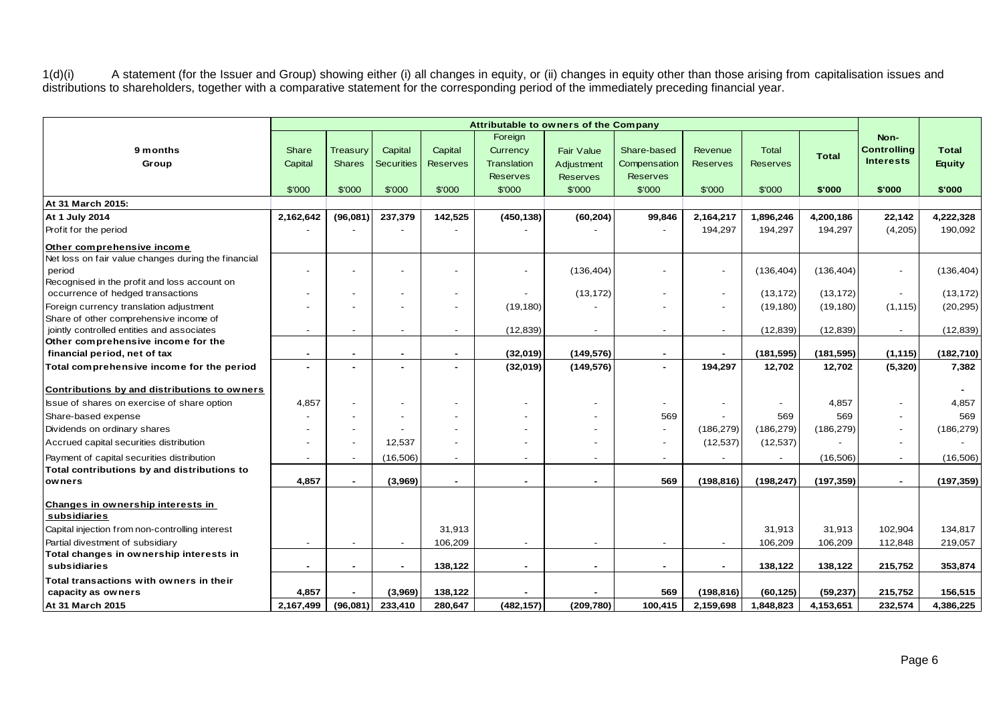1(d)(i) A statement (for the Issuer and Group) showing either (i) all changes in equity, or (ii) changes in equity other than those arising from capitalisation issues and distributions to shareholders, together with a comparative statement for the corresponding period of the immediately preceding financial year.

|                                                     |                          |               |                          |                 | Foreign                  |                 |                          |                          |                 |              | Non-               |               |
|-----------------------------------------------------|--------------------------|---------------|--------------------------|-----------------|--------------------------|-----------------|--------------------------|--------------------------|-----------------|--------------|--------------------|---------------|
| 9 months                                            | <b>Share</b>             | Treasury      | Capital                  | Capital         | Currency                 | Fair Value      | Share-based              | Revenue                  | <b>Total</b>    | <b>Total</b> | <b>Controlling</b> | <b>Total</b>  |
| Group                                               | Capital                  | <b>Shares</b> | <b>Securities</b>        | <b>Reserves</b> | <b>Translation</b>       | Adjustment      | Compensation             | <b>Reserves</b>          | <b>Reserves</b> |              | <b>Interests</b>   | <b>Equity</b> |
|                                                     |                          |               |                          |                 | <b>Reserves</b>          | <b>Reserves</b> | <b>Reserves</b>          |                          |                 |              |                    |               |
|                                                     | \$'000                   | \$'000        | \$'000                   | \$'000          | \$'000                   | \$'000          | \$'000                   | \$'000                   | \$'000          | \$'000       | \$'000             | \$'000        |
| At 31 March 2015:                                   |                          |               |                          |                 |                          |                 |                          |                          |                 |              |                    |               |
| At 1 July 2014                                      | 2,162,642                | (96,081)      | 237,379                  | 142,525         | (450, 138)               | (60, 204)       | 99,846                   | 2,164,217                | 1,896,246       | 4,200,186    | 22,142             | 4,222,328     |
| Profit for the period                               |                          |               |                          |                 |                          |                 |                          | 194,297                  | 194,297         | 194,297      | (4,205)            | 190,092       |
| Other comprehensive income                          |                          |               |                          |                 |                          |                 |                          |                          |                 |              |                    |               |
| Net loss on fair value changes during the financial |                          |               |                          |                 |                          |                 |                          |                          |                 |              |                    |               |
| period                                              |                          |               |                          |                 | $\overline{\phantom{a}}$ | (136, 404)      |                          | $\blacksquare$           | (136, 404)      | (136, 404)   |                    | (136, 404)    |
| Recognised in the profit and loss account on        |                          |               |                          |                 |                          |                 |                          |                          |                 |              |                    |               |
| occurrence of hedged transactions                   |                          |               |                          |                 |                          | (13, 172)       |                          | $\overline{\phantom{a}}$ | (13, 172)       | (13, 172)    |                    | (13, 172)     |
| Foreign currency translation adjustment             |                          |               |                          |                 | (19, 180)                |                 |                          | $\overline{\phantom{a}}$ | (19, 180)       | (19, 180)    | (1, 115)           | (20, 295)     |
| Share of other comprehensive income of              |                          |               |                          |                 |                          |                 |                          |                          |                 |              |                    |               |
| jointly controlled entities and associates          |                          |               |                          |                 | (12, 839)                | $\overline{a}$  |                          | $\overline{\phantom{a}}$ | (12, 839)       | (12, 839)    |                    | (12, 839)     |
| Other comprehensive income for the                  |                          |               |                          |                 |                          |                 |                          |                          |                 |              |                    |               |
| financial period, net of tax                        | $\blacksquare$           |               | $\blacksquare$           | $\sim$          | (32,019)                 | (149, 576)      | $\blacksquare$           | $\sim$                   | (181, 595)      | (181, 595)   | (1, 115)           | (182, 710)    |
| Total comprehensive income for the period           |                          |               |                          |                 | (32,019)                 | (149, 576)      |                          | 194,297                  | 12,702          | 12,702       | (5, 320)           | 7,382         |
| Contributions by and distributions to owners        |                          |               |                          |                 |                          |                 |                          |                          |                 |              |                    |               |
| Issue of shares on exercise of share option         | 4,857                    |               |                          |                 | $\overline{\phantom{a}}$ |                 |                          |                          |                 | 4,857        |                    | 4,857         |
| Share-based expense                                 |                          |               |                          |                 |                          |                 | 569                      |                          | 569             | 569          |                    | 569           |
| Dividends on ordinary shares                        |                          |               |                          |                 |                          |                 |                          | (186, 279)               | (186, 279)      | (186, 279)   |                    | (186, 279)    |
| Accrued capital securities distribution             |                          |               | 12,537                   |                 |                          |                 |                          | (12, 537)                | (12, 537)       |              |                    |               |
| Payment of capital securities distribution          |                          | $\sim$        | (16, 506)                |                 | $\overline{\phantom{a}}$ | $\blacksquare$  | $\overline{\phantom{a}}$ | $\overline{\phantom{a}}$ |                 | (16, 506)    |                    | (16, 506)     |
| Total contributions by and distributions to         |                          |               |                          |                 |                          |                 |                          |                          |                 |              |                    |               |
| owners                                              | 4,857                    |               | (3,969)                  |                 | $\overline{a}$           | $\blacksquare$  | 569                      | (198, 816)               | (198, 247)      | (197, 359)   |                    | (197, 359)    |
|                                                     |                          |               |                          |                 |                          |                 |                          |                          |                 |              |                    |               |
| Changes in ownership interests in                   |                          |               |                          |                 |                          |                 |                          |                          |                 |              |                    |               |
| subsidiaries                                        |                          |               |                          |                 |                          |                 |                          |                          |                 |              |                    |               |
| Capital injection from non-controlling interest     |                          |               |                          | 31,913          |                          |                 |                          |                          | 31,913          | 31,913       | 102,904            | 134,817       |
| Partial divestment of subsidiary                    | $\overline{\phantom{a}}$ |               | $\overline{\phantom{a}}$ | 106,209         | $\blacksquare$           | $\overline{a}$  | $\blacksquare$           | $\blacksquare$           | 106,209         | 106,209      | 112,848            | 219,057       |
| Total changes in ownership interests in             |                          |               |                          |                 |                          |                 |                          |                          |                 |              |                    |               |
| subsidiaries                                        | ۰                        | ۰.            | ۰                        | 138,122         | $\blacksquare$           | $\sim$          | $\blacksquare$           | $\sim$                   | 138,122         | 138,122      | 215,752            | 353,874       |
| Total transactions with owners in their             |                          |               |                          |                 |                          |                 |                          |                          |                 |              |                    |               |
| capacity as owners                                  | 4,857                    |               | (3,969)                  | 138,122         |                          |                 | 569                      | (198, 816)               | (60, 125)       | (59, 237)    | 215,752            | 156,515       |
| At 31 March 2015                                    | 2,167,499                | (96,081)      | 233,410                  | 280,647         | (482, 157)               | (209, 780)      | 100,415                  | 2,159,698                | 1,848,823       | 4,153,651    | 232,574            | 4,386,225     |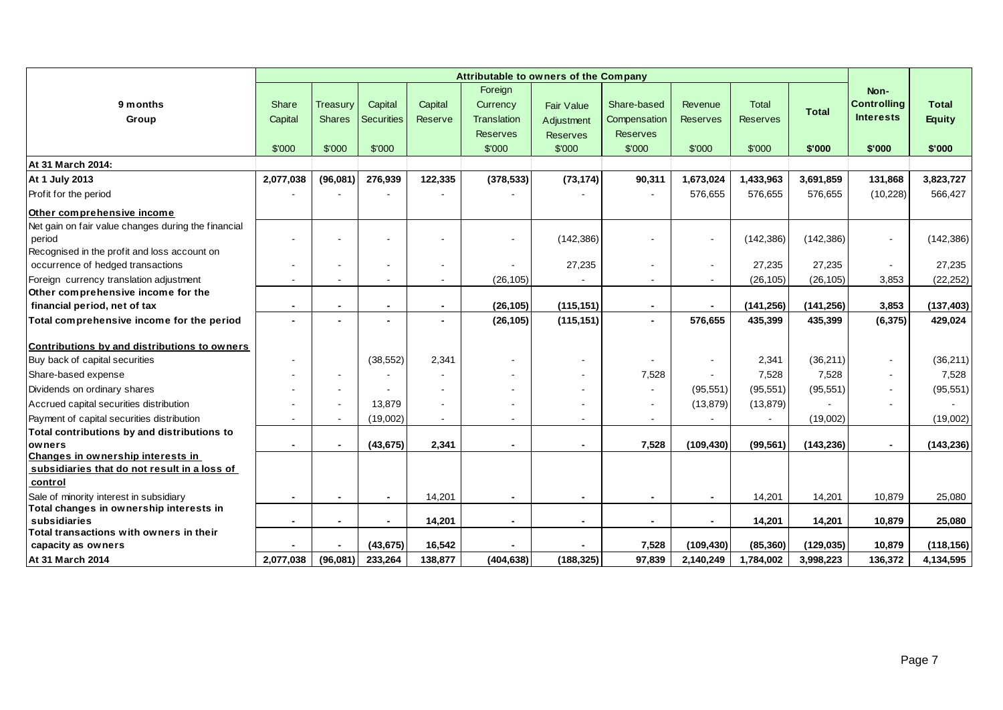|                                                                                    |           |                |                   |         | Attributable to owners of the Company |                          |                 |                          |                 |              |                    |               |
|------------------------------------------------------------------------------------|-----------|----------------|-------------------|---------|---------------------------------------|--------------------------|-----------------|--------------------------|-----------------|--------------|--------------------|---------------|
|                                                                                    |           |                |                   |         | Foreign                               |                          |                 |                          |                 |              | Non-               |               |
| 9 months                                                                           | Share     | Treasury       | Capital           | Capital | Currency                              | <b>Fair Value</b>        | Share-based     | Revenue                  | Total           | <b>Total</b> | <b>Controlling</b> | <b>Total</b>  |
| Group                                                                              | Capital   | <b>Shares</b>  | <b>Securities</b> | Reserve | <b>Translation</b>                    | Adjustment               | Compensation    | <b>Reserves</b>          | <b>Reserves</b> |              | <b>Interests</b>   | <b>Equity</b> |
|                                                                                    |           |                |                   |         | <b>Reserves</b>                       | <b>Reserves</b>          | <b>Reserves</b> |                          |                 |              |                    |               |
|                                                                                    | \$'000    | \$'000         | \$'000            |         | \$'000                                | \$'000                   | \$'000          | \$'000                   | \$'000          | \$'000       | \$'000             | \$'000        |
| At 31 March 2014:                                                                  |           |                |                   |         |                                       |                          |                 |                          |                 |              |                    |               |
| At 1 July 2013                                                                     | 2,077,038 | (96,081)       | 276,939           | 122,335 | (378, 533)                            | (73, 174)                | 90,311          | 1,673,024                | 1,433,963       | 3,691,859    | 131,868            | 3,823,727     |
| Profit for the period                                                              |           |                |                   |         |                                       |                          |                 | 576,655                  | 576,655         | 576,655      | (10, 228)          | 566,427       |
| Other comprehensive income                                                         |           |                |                   |         |                                       |                          |                 |                          |                 |              |                    |               |
| Net gain on fair value changes during the financial                                |           |                |                   |         |                                       |                          |                 |                          |                 |              |                    |               |
| period                                                                             |           |                |                   |         | $\blacksquare$                        | (142, 386)               |                 | $\blacksquare$           | (142, 386)      | (142, 386)   | $\blacksquare$     | (142, 386)    |
| Recognised in the profit and loss account on                                       |           |                |                   |         |                                       |                          |                 |                          |                 |              |                    |               |
| occurrence of hedged transactions                                                  |           |                |                   |         |                                       | 27,235                   |                 | $\blacksquare$           | 27,235          | 27,235       |                    | 27,235        |
| Foreign currency translation adjustment                                            |           |                |                   |         | (26, 105)                             |                          |                 | $\blacksquare$           | (26, 105)       | (26, 105)    | 3,853              | (22, 252)     |
| Other comprehensive income for the                                                 |           |                |                   |         |                                       |                          |                 |                          |                 |              |                    |               |
| financial period, net of tax                                                       |           |                | $\blacksquare$    |         | (26, 105)                             | (115, 151)               | $\blacksquare$  |                          | (141, 256)      | (141, 256)   | 3,853              | (137, 403)    |
| Total comprehensive income for the period                                          |           |                |                   |         | (26, 105)                             | (115, 151)               |                 | 576,655                  | 435,399         | 435,399      | (6, 375)           | 429,024       |
| Contributions by and distributions to owners                                       |           |                |                   |         |                                       |                          |                 |                          |                 |              |                    |               |
| Buy back of capital securities                                                     |           |                | (38, 552)         | 2,341   |                                       |                          |                 | $\overline{\phantom{a}}$ | 2,341           | (36, 211)    | $\sim$             | (36, 211)     |
| Share-based expense                                                                |           |                |                   |         |                                       |                          | 7,528           |                          | 7,528           | 7,528        | $\blacksquare$     | 7,528         |
| Dividends on ordinary shares                                                       |           |                |                   |         |                                       |                          |                 | (95, 551)                | (95, 551)       | (95, 551)    | $\sim$             | (95, 551)     |
| Accrued capital securities distribution                                            |           |                | 13,879            |         |                                       |                          |                 | (13, 879)                | (13, 879)       |              | $\sim$             |               |
| Payment of capital securities distribution                                         |           | $\sim$         | (19,002)          | ٠       |                                       | $\overline{\phantom{a}}$ |                 | $\overline{\phantom{a}}$ |                 | (19,002)     |                    | (19,002)      |
| Total contributions by and distributions to                                        |           |                |                   |         |                                       |                          |                 |                          |                 |              |                    |               |
| owners                                                                             |           | $\blacksquare$ | (43, 675)         | 2,341   | $\overline{\phantom{0}}$              | $\blacksquare$           | 7,528           | (109, 430)               | (99, 561)       | (143, 236)   | $\blacksquare$     | (143, 236)    |
| Changes in ownership interests in                                                  |           |                |                   |         |                                       |                          |                 |                          |                 |              |                    |               |
| subsidiaries that do not result in a loss of                                       |           |                |                   |         |                                       |                          |                 |                          |                 |              |                    |               |
| control                                                                            |           |                |                   |         |                                       |                          |                 |                          |                 |              |                    |               |
| Sale of minority interest in subsidiary<br>Total changes in ownership interests in |           |                | $\blacksquare$    | 14,201  | $\blacksquare$                        | $\blacksquare$           | $\blacksquare$  | $\blacksquare$           | 14,201          | 14,201       | 10,879             | 25,080        |
| subsidiaries                                                                       |           |                |                   | 14,201  | $\blacksquare$                        | $\blacksquare$           |                 | $\blacksquare$           | 14,201          | 14,201       | 10,879             | 25,080        |
| $\sf I$ Total transactions with owners in their                                    |           |                |                   |         |                                       |                          |                 |                          |                 |              |                    |               |
| capacity as owners                                                                 |           |                | (43, 675)         | 16,542  |                                       |                          | 7,528           | (109, 430)               | (85, 360)       | (129, 035)   | 10,879             | (118, 156)    |
| At 31 March 2014                                                                   | 2,077,038 | (96,081)       | 233,264           | 138,877 | (404, 638)                            | (188, 325)               | 97,839          | 2,140,249                | 1,784,002       | 3,998,223    | 136,372            | 4,134,595     |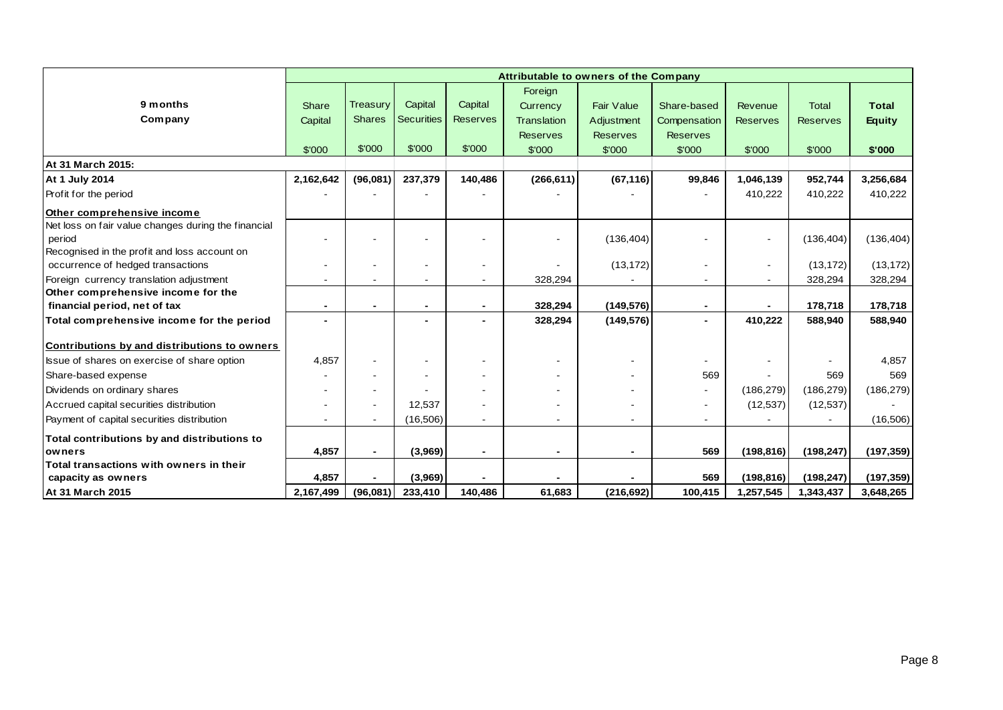|                                                     |                |                          |                   |                 | <b>Attributable to owners of the Company</b> |                   |                 |                 |                 |               |
|-----------------------------------------------------|----------------|--------------------------|-------------------|-----------------|----------------------------------------------|-------------------|-----------------|-----------------|-----------------|---------------|
|                                                     |                |                          |                   |                 | Foreign                                      |                   |                 |                 |                 |               |
| 9 months                                            | Share          | <b>Treasury</b>          | Capital           | Capital         | Currency                                     | <b>Fair Value</b> | Share-based     | Revenue         | <b>Total</b>    | <b>Total</b>  |
| Company                                             | Capital        | <b>Shares</b>            | <b>Securities</b> | <b>Reserves</b> | <b>Translation</b>                           | Adjustment        | Compensation    | <b>Reserves</b> | <b>Reserves</b> | <b>Equity</b> |
|                                                     |                |                          |                   |                 | <b>Reserves</b>                              | <b>Reserves</b>   | <b>Reserves</b> |                 |                 |               |
|                                                     | \$'000         | \$'000                   | \$'000            | \$'000          | \$'000                                       | \$'000            | \$'000          | \$'000          | \$'000          | \$'000        |
| At 31 March 2015:                                   |                |                          |                   |                 |                                              |                   |                 |                 |                 |               |
| <b>At 1 July 2014</b>                               | 2,162,642      | (96,081)                 | 237,379           | 140,486         | (266, 611)                                   | (67, 116)         | 99,846          | 1,046,139       | 952,744         | 3,256,684     |
| Profit for the period                               |                |                          |                   |                 |                                              |                   |                 | 410,222         | 410,222         | 410,222       |
| Other comprehensive income                          |                |                          |                   |                 |                                              |                   |                 |                 |                 |               |
| Net loss on fair value changes during the financial |                |                          |                   |                 |                                              |                   |                 |                 |                 |               |
| period                                              |                |                          |                   |                 |                                              | (136, 404)        |                 |                 | (136, 404)      | (136, 404)    |
| Recognised in the profit and loss account on        |                |                          |                   |                 |                                              |                   |                 |                 |                 |               |
| occurrence of hedged transactions                   |                |                          |                   |                 |                                              | (13, 172)         |                 | $\blacksquare$  | (13, 172)       | (13, 172)     |
| Foreign currency translation adjustment             |                |                          |                   |                 | 328,294                                      |                   |                 |                 | 328,294         | 328,294       |
| Other comprehensive income for the                  |                |                          |                   |                 |                                              |                   |                 |                 |                 |               |
| financial period, net of tax                        | $\blacksquare$ |                          | $\blacksquare$    | $\blacksquare$  | 328,294                                      | (149, 576)        | $\blacksquare$  |                 | 178,718         | 178,718       |
| Total comprehensive income for the period           | $\blacksquare$ |                          |                   |                 | 328,294                                      | (149, 576)        |                 | 410,222         | 588,940         | 588,940       |
| Contributions by and distributions to owners        |                |                          |                   |                 |                                              |                   |                 |                 |                 |               |
| Issue of shares on exercise of share option         | 4,857          |                          |                   |                 |                                              |                   |                 |                 |                 | 4,857         |
| Share-based expense                                 |                |                          |                   |                 |                                              |                   | 569             |                 | 569             | 569           |
| Dividends on ordinary shares                        |                |                          |                   |                 |                                              |                   | Ξ.              | (186, 279)      | (186, 279)      | (186, 279)    |
| Accrued capital securities distribution             |                | $\overline{\phantom{a}}$ | 12.537            |                 |                                              |                   |                 | (12, 537)       | (12, 537)       |               |
| Payment of capital securities distribution          |                |                          | (16, 506)         | ۰               |                                              |                   |                 |                 |                 | (16, 506)     |
| Total contributions by and distributions to         |                |                          |                   |                 |                                              |                   |                 |                 |                 |               |
| owners                                              | 4,857          | $\blacksquare$           | (3,969)           | $\blacksquare$  | $\blacksquare$                               | $\blacksquare$    | 569             | (198, 816)      | (198, 247)      | (197, 359)    |
| Total transactions with owners in their             |                |                          |                   |                 |                                              |                   |                 |                 |                 |               |
| capacity as owners                                  | 4,857          |                          | (3,969)           |                 |                                              |                   | 569             | (198, 816)      | (198, 247)      | (197, 359)    |
| At 31 March 2015                                    | 2,167,499      | (96,081)                 | 233,410           | 140,486         | 61,683                                       | (216, 692)        | 100,415         | 1,257,545       | 1,343,437       | 3,648,265     |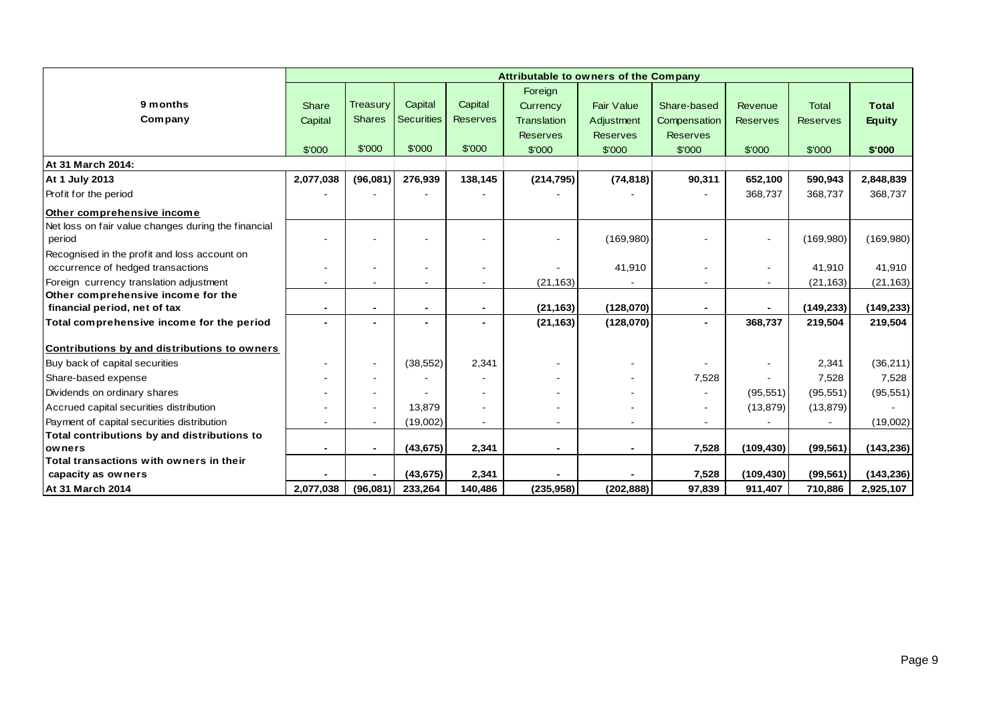|                                                     |                |                          |                   |                 | Attributable to owners of the Company |                   |                 |                 |                 |               |
|-----------------------------------------------------|----------------|--------------------------|-------------------|-----------------|---------------------------------------|-------------------|-----------------|-----------------|-----------------|---------------|
|                                                     |                |                          |                   |                 | Foreign                               |                   |                 |                 |                 |               |
| 9 months                                            | Share          | Treasury                 | Capital           | Capital         | Currency                              | <b>Fair Value</b> | Share-based     | Revenue         | <b>Total</b>    | <b>Total</b>  |
| Company                                             | Capital        | <b>Shares</b>            | <b>Securities</b> | <b>Reserves</b> | <b>Translation</b>                    | Adjustment        | Compensation    | <b>Reserves</b> | <b>Reserves</b> | <b>Equity</b> |
|                                                     |                |                          |                   |                 | <b>Reserves</b>                       | <b>Reserves</b>   | <b>Reserves</b> |                 |                 |               |
|                                                     | \$'000         | \$'000                   | \$'000            | \$'000          | \$'000                                | \$'000            | \$'000          | \$'000          | \$'000          | \$'000        |
| At 31 March 2014:                                   |                |                          |                   |                 |                                       |                   |                 |                 |                 |               |
| At 1 July 2013                                      | 2,077,038      | (96,081)                 | 276,939           | 138,145         | (214, 795)                            | (74, 818)         | 90,311          | 652,100         | 590,943         | 2,848,839     |
| Profit for the period                               |                |                          |                   |                 |                                       |                   |                 | 368,737         | 368,737         | 368,737       |
| Other comprehensive income                          |                |                          |                   |                 |                                       |                   |                 |                 |                 |               |
| Net loss on fair value changes during the financial |                |                          |                   |                 |                                       |                   |                 |                 |                 |               |
| period                                              |                |                          |                   |                 |                                       | (169, 980)        |                 |                 | (169,980)       | (169,980)     |
| Recognised in the profit and loss account on        |                |                          |                   |                 |                                       |                   |                 |                 |                 |               |
| occurrence of hedged transactions                   |                |                          |                   |                 |                                       | 41,910            |                 | $\sim$          | 41,910          | 41,910        |
| Foreign currency translation adjustment             |                |                          |                   |                 | (21, 163)                             |                   |                 |                 | (21, 163)       | (21, 163)     |
| Other comprehensive income for the                  |                |                          |                   |                 |                                       |                   |                 |                 |                 |               |
| financial period, net of tax                        |                |                          |                   |                 | (21, 163)                             | (128,070)         |                 |                 | (149, 233)      | (149, 233)    |
| Total comprehensive income for the period           | $\blacksquare$ |                          |                   | -               | (21, 163)                             | (128,070)         |                 | 368,737         | 219,504         | 219,504       |
| Contributions by and distributions to owners        |                |                          |                   |                 |                                       |                   |                 |                 |                 |               |
| Buy back of capital securities                      |                | $\overline{\phantom{a}}$ | (38, 552)         | 2,341           |                                       |                   |                 |                 | 2,341           | (36,211)      |
| Share-based expense                                 |                |                          |                   |                 |                                       |                   | 7,528           |                 | 7,528           | 7,528         |
| Dividends on ordinary shares                        |                |                          |                   |                 |                                       |                   |                 | (95, 551)       | (95, 551)       | (95, 551)     |
| Accrued capital securities distribution             |                |                          | 13,879            |                 |                                       |                   |                 | (13, 879)       | (13, 879)       |               |
| Payment of capital securities distribution          |                |                          | (19,002)          | $\blacksquare$  |                                       |                   |                 |                 |                 | (19,002)      |
| Total contributions by and distributions to         |                |                          |                   |                 |                                       |                   |                 |                 |                 |               |
| owners                                              | $\blacksquare$ | $\overline{\phantom{a}}$ | (43, 675)         | 2,341           | $\blacksquare$                        | $\blacksquare$    | 7,528           | (109, 430)      | (99, 561)       | (143, 236)    |
| Total transactions with owners in their             |                |                          |                   |                 |                                       |                   |                 |                 |                 |               |
| capacity as owners                                  |                |                          | (43, 675)         | 2,341           |                                       |                   | 7,528           | (109, 430)      | (99, 561)       | (143, 236)    |
| <b>At 31 March 2014</b>                             | 2,077,038      | (96,081)                 | 233,264           | 140,486         | (235, 958)                            | (202, 888)        | 97,839          | 911,407         | 710,886         | 2,925,107     |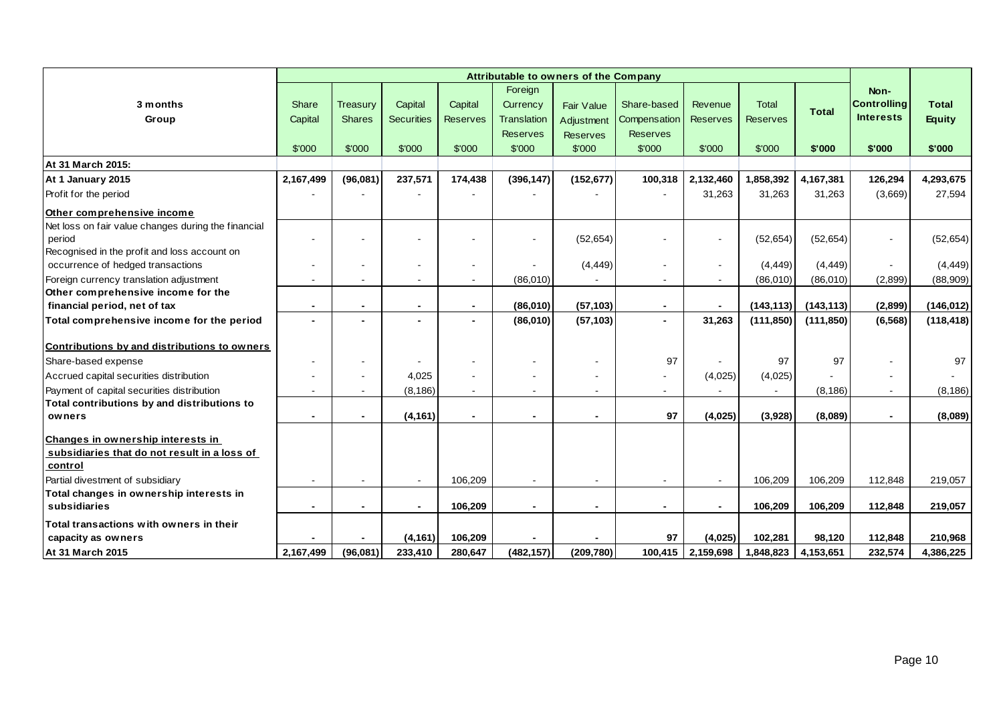|                                                     |                          |               |                          |                 |                 | Attributable to owners of the Company |                 |                 |                 |              |                    |               |
|-----------------------------------------------------|--------------------------|---------------|--------------------------|-----------------|-----------------|---------------------------------------|-----------------|-----------------|-----------------|--------------|--------------------|---------------|
|                                                     |                          |               |                          |                 | Foreign         |                                       |                 |                 |                 |              | Non-               |               |
| 3 months                                            | Share                    | Treasury      | Capital                  | Capital         | Currency        | Fair Value                            | Share-based     | Revenue         | <b>Total</b>    | <b>Total</b> | <b>Controlling</b> | <b>Total</b>  |
| Group                                               | Capital                  | <b>Shares</b> | <b>Securities</b>        | <b>Reserves</b> | Translation     | Adjustment                            | Compensation    | <b>Reserves</b> | <b>Reserves</b> |              | <b>Interests</b>   | <b>Equity</b> |
|                                                     |                          |               |                          |                 | <b>Reserves</b> | <b>Reserves</b>                       | <b>Reserves</b> |                 |                 |              |                    |               |
|                                                     | \$'000                   | \$'000        | \$'000                   | \$'000          | \$'000          | \$'000                                | \$'000          | \$'000          | \$'000          | \$'000       | \$'000             | \$'000        |
| At 31 March 2015:                                   |                          |               |                          |                 |                 |                                       |                 |                 |                 |              |                    |               |
| At 1 January 2015                                   | 2,167,499                | (96,081)      | 237,571                  | 174,438         | (396, 147)      | (152, 677)                            | 100,318         | 2,132,460       | 1,858,392       | 4,167,381    | 126,294            | 4,293,675     |
| Profit for the period                               |                          |               |                          |                 |                 |                                       |                 | 31,263          | 31,263          | 31,263       | (3,669)            | 27,594        |
| Other comprehensive income                          |                          |               |                          |                 |                 |                                       |                 |                 |                 |              |                    |               |
| Net loss on fair value changes during the financial |                          |               |                          |                 |                 |                                       |                 |                 |                 |              |                    |               |
| period                                              |                          |               |                          |                 |                 | (52, 654)                             |                 | $\blacksquare$  | (52, 654)       | (52, 654)    | $\blacksquare$     | (52, 654)     |
| Recognised in the profit and loss account on        |                          |               |                          |                 |                 |                                       |                 |                 |                 |              |                    |               |
| occurrence of hedged transactions                   |                          |               |                          | $\blacksquare$  |                 | (4, 449)                              |                 | $\blacksquare$  | (4, 449)        | (4, 449)     |                    | (4, 449)      |
| Foreign currency translation adjustment             |                          |               | $\sim$                   | $\blacksquare$  | (86,010)        |                                       | $\sim$          | $\blacksquare$  | (86,010)        | (86,010)     | (2,899)            | (88,909)      |
| Other comprehensive income for the                  |                          |               |                          |                 |                 |                                       |                 |                 |                 |              |                    |               |
| financial period, net of tax                        | $\blacksquare$           |               | $\blacksquare$           | $\blacksquare$  | (86,010)        | (57, 103)                             | $\sim$          | $\blacksquare$  | (143, 113)      | (143, 113)   | (2,899)            | (146, 012)    |
| Total comprehensive income for the period           | $\overline{\phantom{0}}$ |               | $\overline{\phantom{0}}$ | $\blacksquare$  | (86,010)        | (57, 103)                             | $\blacksquare$  | 31,263          | (111, 850)      | (111, 850)   | (6, 568)           | (118, 418)    |
| Contributions by and distributions to owners        |                          |               |                          |                 |                 |                                       |                 |                 |                 |              |                    |               |
| Share-based expense                                 |                          |               |                          |                 |                 |                                       | 97              |                 | 97              | 97           | $\blacksquare$     | 97            |
| Accrued capital securities distribution             |                          |               | 4,025                    |                 |                 |                                       |                 | (4,025)         | (4,025)         |              |                    |               |
| Payment of capital securities distribution          |                          |               | (8, 186)                 |                 |                 |                                       |                 | $\blacksquare$  |                 | (8, 186)     | $\blacksquare$     | (8, 186)      |
| Total contributions by and distributions to         |                          |               |                          |                 |                 |                                       |                 |                 |                 |              |                    |               |
| owners                                              |                          |               | (4, 161)                 |                 |                 |                                       | 97              | (4,025)         | (3,928)         | (8,089)      | $\blacksquare$     | (8,089)       |
| Changes in ownership interests in                   |                          |               |                          |                 |                 |                                       |                 |                 |                 |              |                    |               |
| subsidiaries that do not result in a loss of        |                          |               |                          |                 |                 |                                       |                 |                 |                 |              |                    |               |
| control                                             |                          |               |                          |                 |                 |                                       |                 |                 |                 |              |                    |               |
| Partial divestment of subsidiary                    |                          |               | $\sim$                   | 106,209         |                 | $\overline{\phantom{a}}$              | $\sim$          | $\sim$          | 106,209         | 106,209      | 112,848            | 219,057       |
| Total changes in ownership interests in             |                          |               |                          |                 |                 |                                       |                 |                 |                 |              |                    |               |
| subsidiaries                                        |                          |               | $\blacksquare$           | 106,209         |                 | $\blacksquare$                        | $\sim$          | $\blacksquare$  | 106,209         | 106,209      | 112,848            | 219,057       |
| Total transactions with owners in their             |                          |               |                          |                 |                 |                                       |                 |                 |                 |              |                    |               |
| capacity as owners                                  |                          |               | (4, 161)                 | 106,209         |                 |                                       | 97              | (4,025)         | 102,281         | 98,120       | 112,848            | 210,968       |
| At 31 March 2015                                    | 2,167,499                | (96,081)      | 233,410                  | 280.647         | (482, 157)      | (209, 780)                            | 100,415         | 2,159,698       | 1,848,823       | 4,153,651    | 232,574            | 4,386,225     |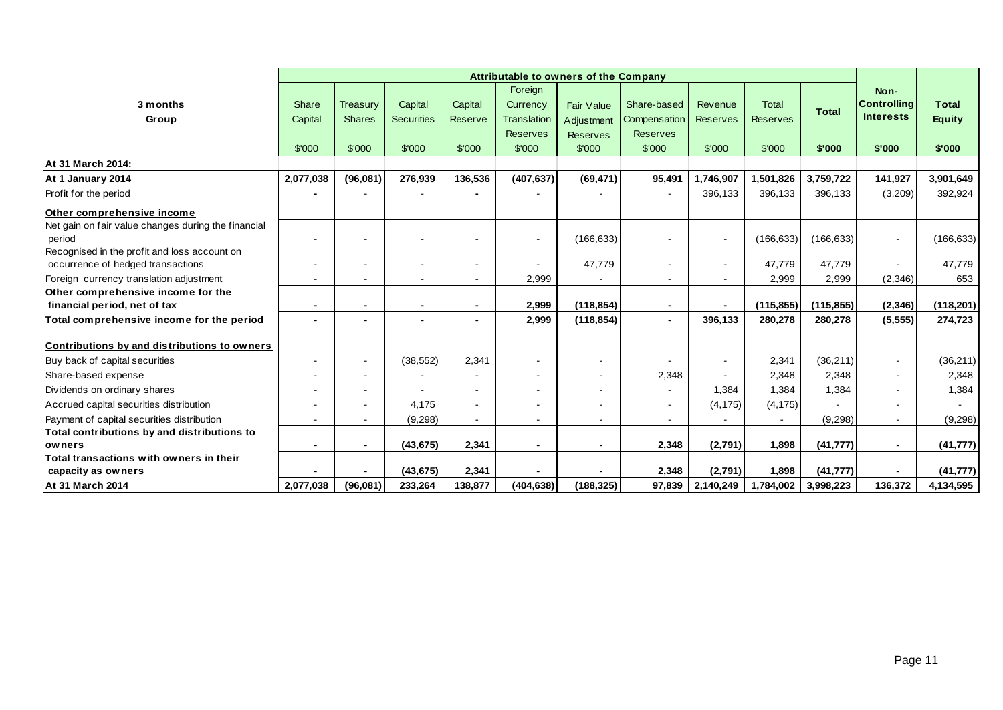|                                                     |              |               |                          |         | Foreign                  |                          |                 |                          |                 |              | Non-                     |               |
|-----------------------------------------------------|--------------|---------------|--------------------------|---------|--------------------------|--------------------------|-----------------|--------------------------|-----------------|--------------|--------------------------|---------------|
| 3 months                                            | <b>Share</b> | Treasury      | Capital                  | Capital | Currency                 | <b>Fair Value</b>        | Share-based     | Revenue                  | <b>Total</b>    |              | <b>Controlling</b>       | <b>Total</b>  |
| Group                                               | Capital      | <b>Shares</b> | <b>Securities</b>        | Reserve | <b>Translation</b>       | Adjustment               | Compensation    | <b>Reserves</b>          | <b>Reserves</b> | <b>Total</b> | <b>Interests</b>         | <b>Equity</b> |
|                                                     |              |               |                          |         | <b>Reserves</b>          | <b>Reserves</b>          | <b>Reserves</b> |                          |                 |              |                          |               |
|                                                     | \$'000       | \$'000        | \$'000                   | \$'000  | \$'000                   | \$'000                   | \$'000          | \$'000                   | \$'000          | \$'000       | \$'000                   | \$'000        |
| At 31 March 2014:                                   |              |               |                          |         |                          |                          |                 |                          |                 |              |                          |               |
| At 1 January 2014                                   | 2,077,038    | (96,081)      | 276,939                  | 136,536 | (407, 637)               | (69, 471)                | 95,491          | 1,746,907                | 1,501,826       | 3,759,722    | 141,927                  | 3,901,649     |
| Profit for the period                               |              |               |                          |         |                          |                          |                 | 396,133                  | 396,133         | 396,133      | (3,209)                  | 392,924       |
| Other comprehensive income                          |              |               |                          |         |                          |                          |                 |                          |                 |              |                          |               |
| Net gain on fair value changes during the financial |              |               |                          |         |                          |                          |                 |                          |                 |              |                          |               |
| period                                              |              |               |                          |         |                          | (166, 633)               |                 | $\sim$                   | (166, 633)      | (166, 633)   | $\sim$                   | (166, 633)    |
| Recognised in the profit and loss account on        |              |               |                          |         |                          |                          |                 |                          |                 |              |                          |               |
| occurrence of hedged transactions                   |              |               | $\overline{\phantom{a}}$ |         |                          | 47,779                   | $\blacksquare$  | $\overline{\phantom{a}}$ | 47,779          | 47,779       |                          | 47,779        |
| Foreign currency translation adjustment             |              |               | ٠                        |         | 2,999                    |                          | $\sim$          |                          | 2,999           | 2,999        | (2,346)                  | 653           |
| Other comprehensive income for the                  |              |               |                          |         |                          |                          |                 |                          |                 |              |                          |               |
| financial period, net of tax                        |              |               | $\blacksquare$           |         | 2,999                    | (118, 854)               | $\blacksquare$  |                          | (115, 855)      | (115, 855)   | (2, 346)                 | (118, 201)    |
| Total comprehensive income for the period           |              |               | $\blacksquare$           |         | 2,999                    | (118, 854)               | $\sim$          | 396,133                  | 280,278         | 280,278      | (5, 555)                 | 274,723       |
| Contributions by and distributions to owners        |              |               |                          |         |                          |                          |                 |                          |                 |              |                          |               |
| Buy back of capital securities                      |              |               | (38, 552)                | 2,341   | $\overline{\phantom{a}}$ | $\overline{\phantom{a}}$ |                 | $\blacksquare$           | 2,341           | (36, 211)    | $\sim$                   | (36, 211)     |
| Share-based expense                                 |              |               |                          |         |                          | $\overline{\phantom{a}}$ | 2,348           |                          | 2,348           | 2,348        | $\sim$                   | 2,348         |
| Dividends on ordinary shares                        |              |               |                          |         |                          |                          | $\blacksquare$  | 1,384                    | 1,384           | 1,384        |                          | 1,384         |
| Accrued capital securities distribution             |              |               | 4.175                    |         |                          |                          | $\blacksquare$  | (4, 175)                 | (4, 175)        |              | $\overline{\phantom{a}}$ |               |
| Payment of capital securities distribution          |              |               | (9, 298)                 | $\sim$  |                          | $\overline{a}$           | $\sim$          |                          |                 | (9,298)      | $\sim$                   | (9,298)       |
| Total contributions by and distributions to         |              |               |                          |         |                          |                          |                 |                          |                 |              |                          |               |
| <b>lowners</b>                                      |              |               | (43, 675)                | 2,341   | $\blacksquare$           | $\blacksquare$           | 2,348           | (2,791)                  | 1,898           | (41, 777)    | $\blacksquare$           | (41, 777)     |
| Total transactions with owners in their             |              |               |                          |         |                          |                          |                 |                          |                 |              |                          |               |
| capacity as owners                                  |              |               | (43, 675)                | 2,341   |                          |                          | 2,348           | (2,791)                  | 1,898           | (41, 777)    |                          | (41, 777)     |
| <b>At 31 March 2014</b>                             | 2,077,038    | (96,081)      | 233,264                  | 138,877 | (404, 638)               | (188, 325)               | 97,839          | 2,140,249                | 1,784,002       | 3,998,223    | 136,372                  | 4,134,595     |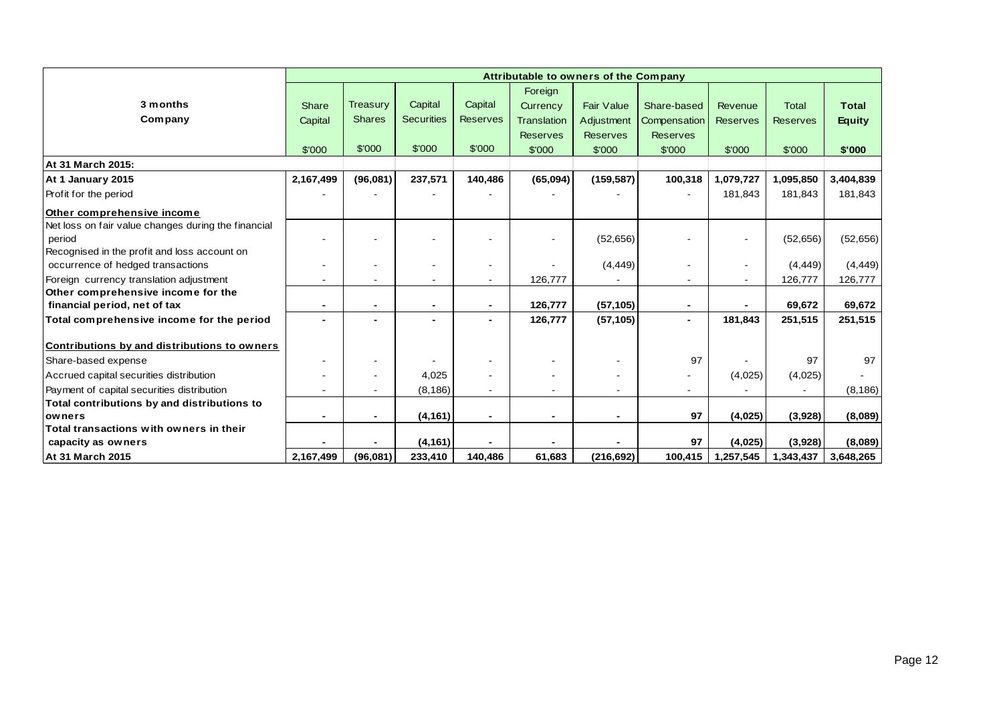|                                                     | Attributable to owners of the Company |               |                   |                          |                          |                   |                 |                          |                 |               |
|-----------------------------------------------------|---------------------------------------|---------------|-------------------|--------------------------|--------------------------|-------------------|-----------------|--------------------------|-----------------|---------------|
|                                                     |                                       |               |                   |                          | Foreign                  |                   |                 |                          |                 |               |
| 3 months                                            | Share                                 | Treasury      | Capital           | Capital                  | Currency                 | <b>Fair Value</b> | Share-based     | Revenue                  | <b>Total</b>    | <b>Total</b>  |
| Company                                             | Capital                               | <b>Shares</b> | <b>Securities</b> | <b>Reserves</b>          | <b>Translation</b>       | Adjustment        | Compensation    | <b>Reserves</b>          | <b>Reserves</b> | <b>Equity</b> |
|                                                     |                                       |               |                   |                          | <b>Reserves</b>          | <b>Reserves</b>   | <b>Reserves</b> |                          |                 |               |
|                                                     | \$'000                                | \$'000        | \$'000            | \$'000                   | \$'000                   | \$'000            | \$'000          | \$'000                   | \$'000          | \$'000        |
| At 31 March 2015:                                   |                                       |               |                   |                          |                          |                   |                 |                          |                 |               |
| At 1 January 2015                                   | 2,167,499                             | (96,081)      | 237,571           | 140,486                  | (65,094)                 | (159, 587)        | 100,318         | 1,079,727                | 1,095,850       | 3,404,839     |
| Profit for the period                               |                                       |               |                   |                          |                          |                   |                 | 181,843                  | 181,843         | 181,843       |
| Other comprehensive income                          |                                       |               |                   |                          |                          |                   |                 |                          |                 |               |
| Net loss on fair value changes during the financial |                                       |               |                   |                          |                          |                   |                 |                          |                 |               |
| period                                              |                                       |               |                   |                          |                          | (52, 656)         |                 | $\overline{\phantom{a}}$ | (52, 656)       | (52, 656)     |
| Recognised in the profit and loss account on        |                                       |               |                   |                          |                          |                   |                 |                          |                 |               |
| occurrence of hedged transactions                   | $\overline{\phantom{a}}$              |               | ۰                 |                          |                          | (4, 449)          |                 | $\overline{\phantom{a}}$ | (4, 449)        | (4, 449)      |
| Foreign currency translation adjustment             |                                       |               | $\blacksquare$    | $\overline{\phantom{a}}$ | 126,777                  |                   |                 |                          | 126,777         | 126,777       |
| Other comprehensive income for the                  |                                       |               |                   |                          |                          |                   |                 |                          |                 |               |
| financial period, net of tax                        |                                       |               | -                 | $\overline{\phantom{0}}$ | 126,777                  | (57, 105)         | $\blacksquare$  |                          | 69,672          | 69,672        |
| Total comprehensive income for the period           |                                       |               |                   |                          | 126,777                  | (57, 105)         |                 | 181,843                  | 251,515         | 251,515       |
| Contributions by and distributions to owners        |                                       |               |                   |                          |                          |                   |                 |                          |                 |               |
| Share-based expense                                 |                                       |               |                   |                          |                          |                   | 97              |                          | 97              | 97            |
| Accrued capital securities distribution             | $\blacksquare$                        |               | 4,025             |                          |                          |                   |                 | (4,025)                  | (4,025)         |               |
| Payment of capital securities distribution          |                                       |               | (8, 186)          |                          |                          |                   |                 |                          |                 | (8, 186)      |
| Total contributions by and distributions to         |                                       |               |                   |                          |                          |                   |                 |                          |                 |               |
| owners                                              |                                       |               | (4, 161)          | $\blacksquare$           | $\overline{\phantom{0}}$ |                   | 97              | (4,025)                  | (3,928)         | (8,089)       |
| Total transactions with owners in their             |                                       |               |                   |                          |                          |                   |                 |                          |                 |               |
| capacity as owners                                  |                                       |               | (4, 161)          |                          |                          |                   | 97              | (4,025)                  | (3,928)         | (8,089)       |
| <b>At 31 March 2015</b>                             | 2.167.499                             | (96,081)      | 233,410           | 140,486                  | 61,683                   | (216, 692)        | 100,415         | 1,257,545                | 1,343,437       | 3,648,265     |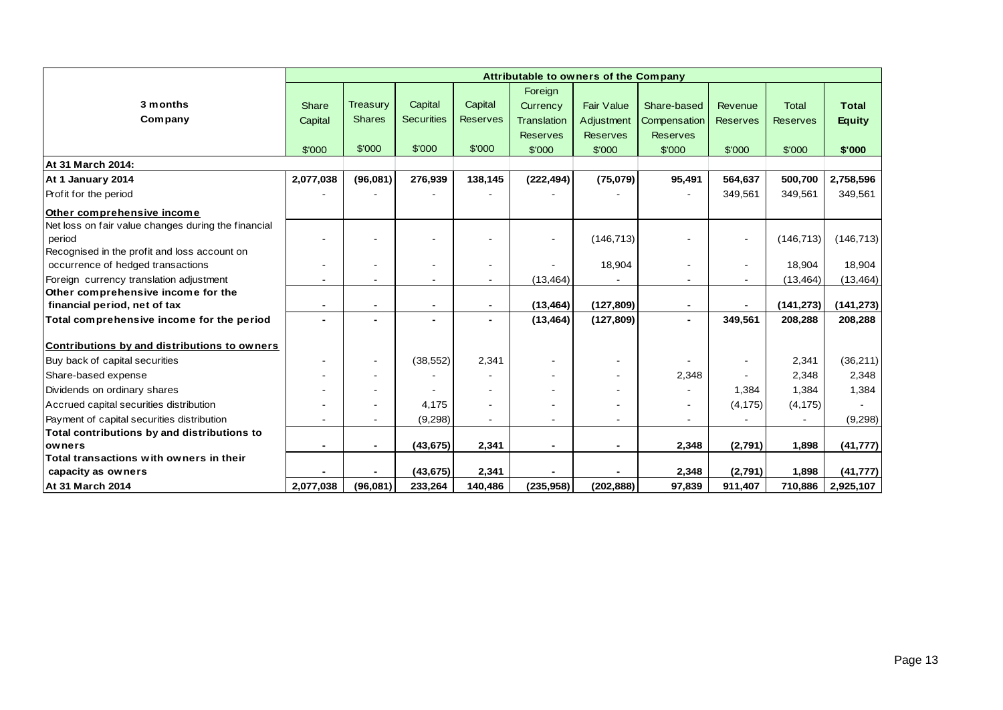|                                                     | Attributable to owners of the Company |               |                   |                              |                    |                   |                 |                          |                 |               |
|-----------------------------------------------------|---------------------------------------|---------------|-------------------|------------------------------|--------------------|-------------------|-----------------|--------------------------|-----------------|---------------|
|                                                     |                                       |               |                   |                              | Foreign            |                   |                 |                          |                 |               |
| 3 months                                            | Share                                 | Treasury      | Capital           | Capital                      | Currency           | <b>Fair Value</b> | Share-based     | Revenue                  | <b>Total</b>    | <b>Total</b>  |
| Company                                             | Capital                               | <b>Shares</b> | <b>Securities</b> | <b>Reserves</b>              | <b>Translation</b> | Adjustment        | Compensation    | <b>Reserves</b>          | <b>Reserves</b> | <b>Equity</b> |
|                                                     |                                       |               |                   |                              | <b>Reserves</b>    | <b>Reserves</b>   | <b>Reserves</b> |                          |                 |               |
|                                                     | \$'000                                | \$'000        | \$'000            | \$'000                       | \$'000             | \$'000            | \$'000          | \$'000                   | \$'000          | \$'000        |
| At 31 March 2014:                                   |                                       |               |                   |                              |                    |                   |                 |                          |                 |               |
| At 1 January 2014                                   | 2,077,038                             | (96,081)      | 276,939           | 138,145                      | (222, 494)         | (75,079)          | 95,491          | 564,637                  | 500,700         | 2,758,596     |
| Profit for the period                               |                                       |               |                   |                              |                    |                   |                 | 349,561                  | 349,561         | 349,561       |
| Other comprehensive income                          |                                       |               |                   |                              |                    |                   |                 |                          |                 |               |
| Net loss on fair value changes during the financial |                                       |               |                   |                              |                    |                   |                 |                          |                 |               |
| period                                              |                                       |               |                   |                              | $\blacksquare$     | (146, 713)        |                 | $\sim$                   | (146, 713)      | (146, 713)    |
| Recognised in the profit and loss account on        |                                       |               |                   |                              |                    |                   |                 |                          |                 |               |
| occurrence of hedged transactions                   | $\blacksquare$                        |               |                   | $\qquad \qquad \blacksquare$ |                    | 18,904            |                 |                          | 18,904          | 18,904        |
| Foreign currency translation adjustment             |                                       |               | ٠                 | $\blacksquare$               | (13, 464)          |                   |                 |                          | (13, 464)       | (13, 464)     |
| Other comprehensive income for the                  |                                       |               |                   |                              |                    |                   |                 |                          |                 |               |
| financial period, net of tax                        |                                       |               |                   |                              | (13, 464)          | (127, 809)        |                 |                          | (141, 273)      | (141, 273)    |
| Total comprehensive income for the period           |                                       |               |                   | $\overline{\phantom{0}}$     | (13, 464)          | (127, 809)        | $\blacksquare$  | 349,561                  | 208,288         | 208,288       |
| Contributions by and distributions to owners        |                                       |               |                   |                              |                    |                   |                 |                          |                 |               |
| Buy back of capital securities                      |                                       |               | (38, 552)         | 2.341                        | $\blacksquare$     |                   |                 | $\overline{\phantom{a}}$ | 2,341           | (36, 211)     |
| Share-based expense                                 |                                       |               |                   |                              |                    |                   | 2,348           |                          | 2,348           | 2,348         |
| Dividends on ordinary shares                        |                                       |               |                   |                              |                    |                   |                 | 1,384                    | 1,384           | 1,384         |
| Accrued capital securities distribution             |                                       |               | 4.175             |                              |                    |                   |                 | (4, 175)                 | (4, 175)        |               |
| Payment of capital securities distribution          |                                       |               | (9, 298)          |                              |                    |                   |                 |                          |                 | (9, 298)      |
| Total contributions by and distributions to         |                                       |               |                   |                              |                    |                   |                 |                          |                 |               |
| owners                                              |                                       |               | (43, 675)         | 2,341                        | $\blacksquare$     |                   | 2,348           | (2,791)                  | 1,898           | (41, 777)     |
| Total transactions with owners in their             |                                       |               |                   |                              |                    |                   |                 |                          |                 |               |
| capacity as owners                                  |                                       |               | (43, 675)         | 2,341                        |                    |                   | 2,348           | (2,791)                  | 1,898           | (41, 777)     |
| <b>At 31 March 2014</b>                             | 2,077,038                             | (96,081)      | 233,264           | 140,486                      | (235,958)          | (202, 888)        | 97,839          | 911,407                  | 710,886         | 2,925,107     |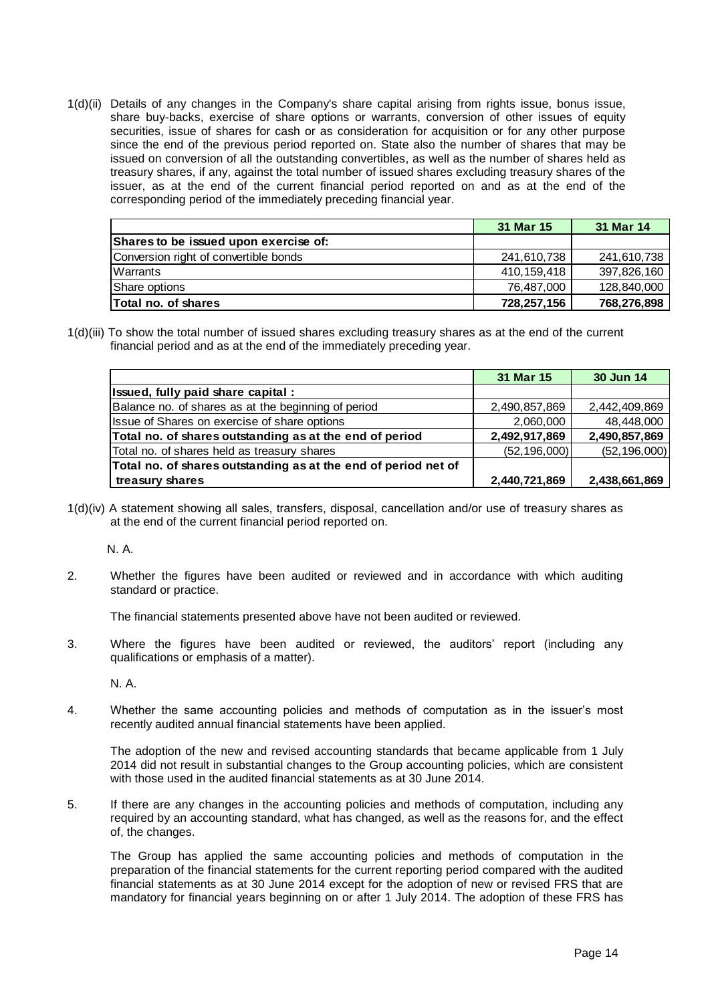1(d)(ii) Details of any changes in the Company's share capital arising from rights issue, bonus issue, share buy-backs, exercise of share options or warrants, conversion of other issues of equity securities, issue of shares for cash or as consideration for acquisition or for any other purpose since the end of the previous period reported on. State also the number of shares that may be issued on conversion of all the outstanding convertibles, as well as the number of shares held as treasury shares, if any, against the total number of issued shares excluding treasury shares of the issuer, as at the end of the current financial period reported on and as at the end of the corresponding period of the immediately preceding financial year.

|                                       | 31 Mar 15   | 31 Mar 14   |
|---------------------------------------|-------------|-------------|
| Shares to be issued upon exercise of: |             |             |
| Conversion right of convertible bonds | 241,610,738 | 241,610,738 |
| Warrants                              | 410.159.418 | 397,826,160 |
| Share options                         | 76,487,000  | 128,840,000 |
| <b>Total no. of shares</b>            | 728,257,156 | 768,276,898 |

1(d)(iii) To show the total number of issued shares excluding treasury shares as at the end of the current financial period and as at the end of the immediately preceding year.

|                                                                | 31 Mar 15      | 30 Jun 14      |
|----------------------------------------------------------------|----------------|----------------|
| Issued, fully paid share capital:                              |                |                |
| Balance no. of shares as at the beginning of period            | 2,490,857,869  | 2,442,409,869  |
| Issue of Shares on exercise of share options                   | 2,060,000      | 48,448,000     |
| Total no. of shares outstanding as at the end of period        | 2,492,917,869  | 2,490,857,869  |
| Total no. of shares held as treasury shares                    | (52, 196, 000) | (52, 196, 000) |
| Total no. of shares outstanding as at the end of period net of |                |                |
| treasury shares                                                | 2,440,721,869  | 2,438,661,869  |

1(d)(iv) A statement showing all sales, transfers, disposal, cancellation and/or use of treasury shares as at the end of the current financial period reported on.

N. A.

2. Whether the figures have been audited or reviewed and in accordance with which auditing standard or practice.

The financial statements presented above have not been audited or reviewed.

3. Where the figures have been audited or reviewed, the auditors' report (including any qualifications or emphasis of a matter).

N. A.

4. Whether the same accounting policies and methods of computation as in the issuer's most recently audited annual financial statements have been applied.

The adoption of the new and revised accounting standards that became applicable from 1 July 2014 did not result in substantial changes to the Group accounting policies, which are consistent with those used in the audited financial statements as at 30 June 2014.

5. If there are any changes in the accounting policies and methods of computation, including any required by an accounting standard, what has changed, as well as the reasons for, and the effect of, the changes.

The Group has applied the same accounting policies and methods of computation in the preparation of the financial statements for the current reporting period compared with the audited financial statements as at 30 June 2014 except for the adoption of new or revised FRS that are mandatory for financial years beginning on or after 1 July 2014. The adoption of these FRS has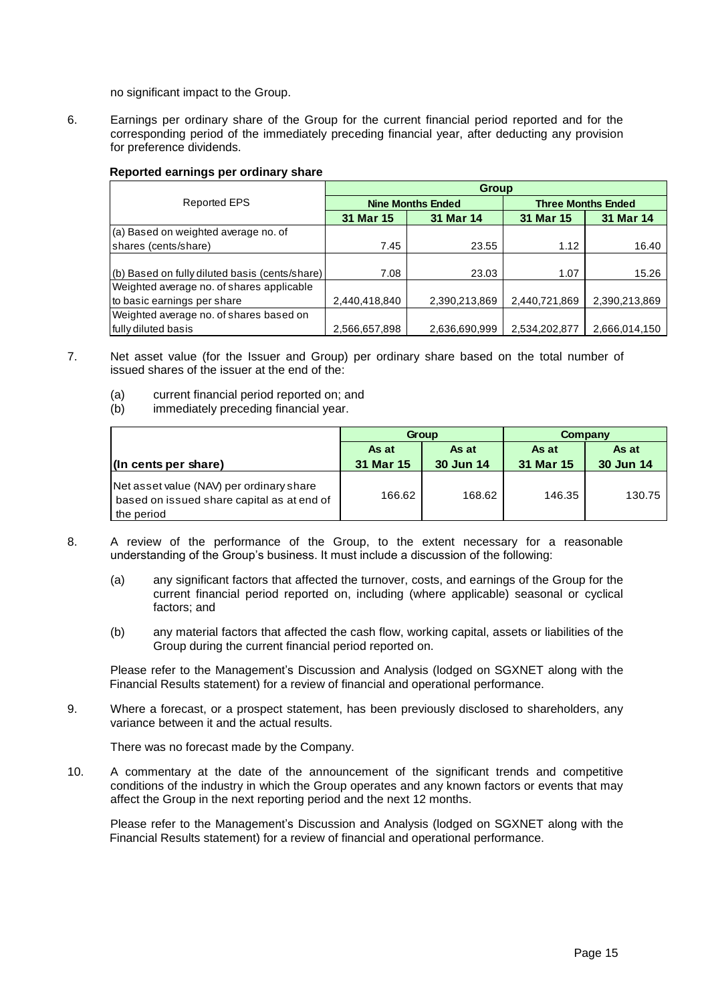no significant impact to the Group.

6. Earnings per ordinary share of the Group for the current financial period reported and for the corresponding period of the immediately preceding financial year, after deducting any provision for preference dividends.

### **Reported earnings per ordinary share**

|                                                | <b>Group</b>  |                          |                           |               |  |  |  |  |  |
|------------------------------------------------|---------------|--------------------------|---------------------------|---------------|--|--|--|--|--|
| <b>Reported EPS</b>                            |               | <b>Nine Months Ended</b> | <b>Three Months Ended</b> |               |  |  |  |  |  |
|                                                | 31 Mar 15     | 31 Mar 14                | 31 Mar 15                 | 31 Mar 14     |  |  |  |  |  |
| (a) Based on weighted average no. of           |               |                          |                           |               |  |  |  |  |  |
| shares (cents/share)                           | 7.45          | 23.55                    | 1.12                      | 16.40         |  |  |  |  |  |
|                                                |               |                          |                           |               |  |  |  |  |  |
| (b) Based on fully diluted basis (cents/share) | 7.08          | 23.03                    | 1.07                      | 15.26         |  |  |  |  |  |
| Weighted average no. of shares applicable      |               |                          |                           |               |  |  |  |  |  |
| to basic earnings per share                    | 2,440,418,840 | 2,390,213,869            | 2,440,721,869             | 2,390,213,869 |  |  |  |  |  |
| Weighted average no. of shares based on        |               |                          |                           |               |  |  |  |  |  |
| fully diluted basis                            | 2,566,657,898 | 2,636,690,999            | 2,534,202,877             | 2,666,014,150 |  |  |  |  |  |

- 7. Net asset value (for the Issuer and Group) per ordinary share based on the total number of issued shares of the issuer at the end of the:
	- (a) current financial period reported on; and
	- (b) immediately preceding financial year.

|                                                                                                      |                    | Group              | Company            |                    |  |
|------------------------------------------------------------------------------------------------------|--------------------|--------------------|--------------------|--------------------|--|
| (In cents per share)                                                                                 | As at<br>31 Mar 15 | As at<br>30 Jun 14 | As at<br>31 Mar 15 | As at<br>30 Jun 14 |  |
| Net asset value (NAV) per ordinary share<br>based on issued share capital as at end of<br>the period | 166.62             | 168.62             | 146.35             | 130.75             |  |

- 8. A review of the performance of the Group, to the extent necessary for a reasonable understanding of the Group's business. It must include a discussion of the following:
	- (a) any significant factors that affected the turnover, costs, and earnings of the Group for the current financial period reported on, including (where applicable) seasonal or cyclical factors; and
	- (b) any material factors that affected the cash flow, working capital, assets or liabilities of the Group during the current financial period reported on.

Please refer to the Management's Discussion and Analysis (lodged on SGXNET along with the Financial Results statement) for a review of financial and operational performance.

9. Where a forecast, or a prospect statement, has been previously disclosed to shareholders, any variance between it and the actual results.

There was no forecast made by the Company.

10. A commentary at the date of the announcement of the significant trends and competitive conditions of the industry in which the Group operates and any known factors or events that may affect the Group in the next reporting period and the next 12 months.

Please refer to the Management's Discussion and Analysis (lodged on SGXNET along with the Financial Results statement) for a review of financial and operational performance.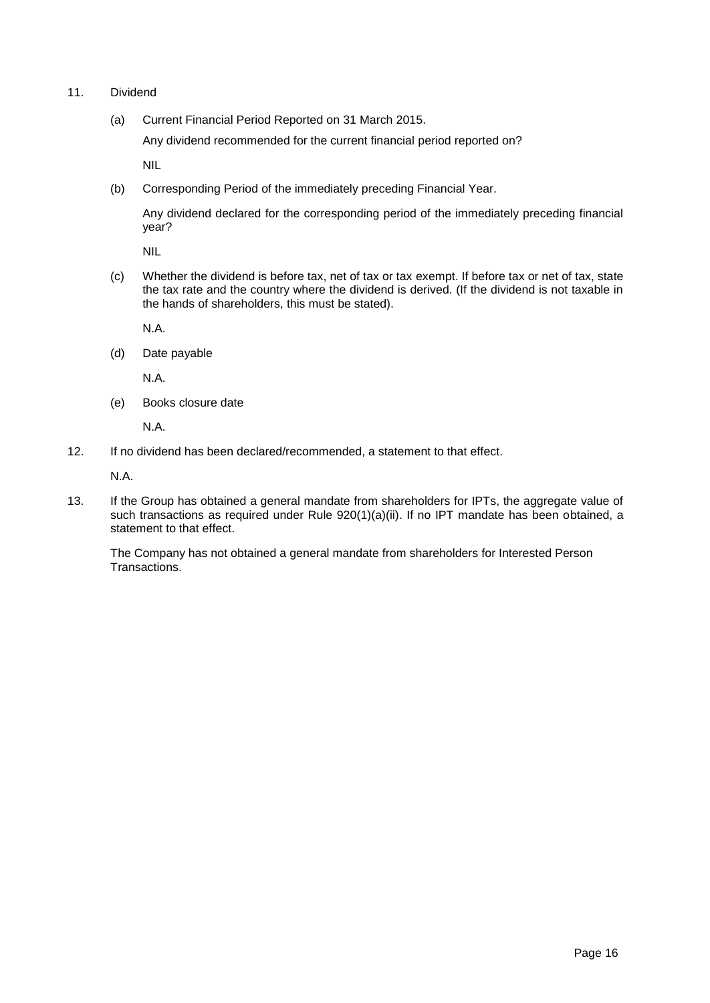- 11. Dividend
	- (a) Current Financial Period Reported on 31 March 2015.

Any dividend recommended for the current financial period reported on?

NIL

(b) Corresponding Period of the immediately preceding Financial Year.

Any dividend declared for the corresponding period of the immediately preceding financial year?

NIL

(c) Whether the dividend is before tax, net of tax or tax exempt. If before tax or net of tax, state the tax rate and the country where the dividend is derived. (If the dividend is not taxable in the hands of shareholders, this must be stated).

N.A.

(d) Date payable

N.A.

(e) Books closure date

N.A.

12. If no dividend has been declared/recommended, a statement to that effect.

N.A.

13. If the Group has obtained a general mandate from shareholders for IPTs, the aggregate value of such transactions as required under Rule 920(1)(a)(ii). If no IPT mandate has been obtained, a statement to that effect.

The Company has not obtained a general mandate from shareholders for Interested Person Transactions.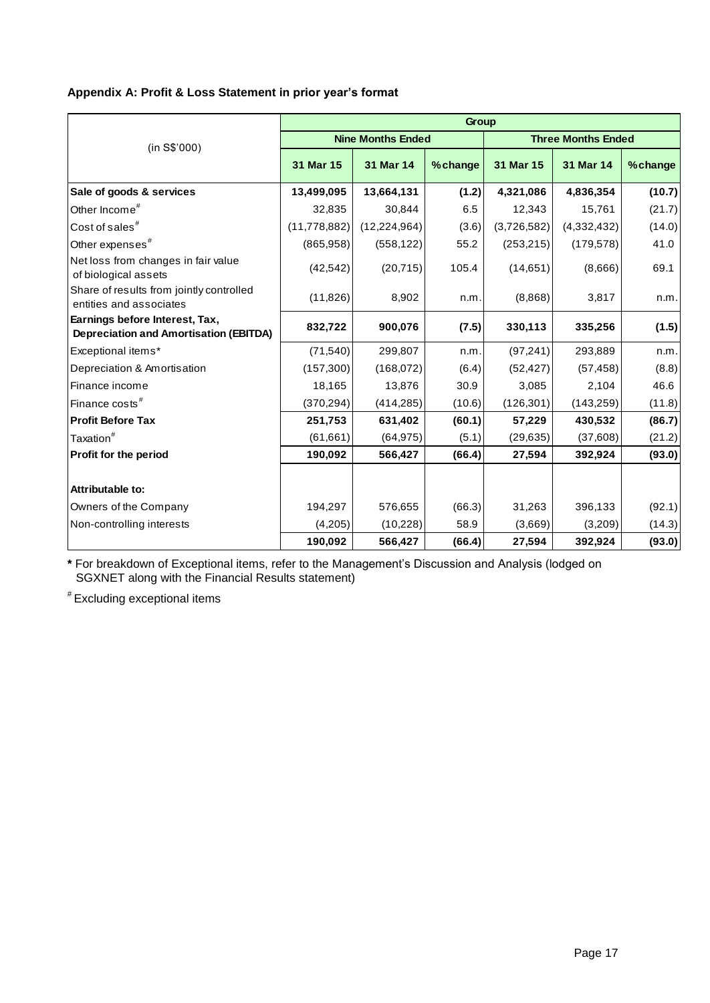## **Appendix A: Profit & Loss Statement in prior year's format**

|                                                                                 | <b>Group</b>   |                          |         |                           |             |          |  |  |  |
|---------------------------------------------------------------------------------|----------------|--------------------------|---------|---------------------------|-------------|----------|--|--|--|
| (in S\$'000)                                                                    |                | <b>Nine Months Ended</b> |         | <b>Three Months Ended</b> |             |          |  |  |  |
|                                                                                 | 31 Mar 15      | 31 Mar 14                | %change | 31 Mar 15                 | 31 Mar 14   | % change |  |  |  |
| Sale of goods & services                                                        | 13,499,095     | 13,664,131               | (1.2)   | 4,321,086                 | 4,836,354   | (10.7)   |  |  |  |
| Other Income <sup>#</sup>                                                       | 32,835         | 30,844                   | 6.5     | 12,343                    | 15,761      | (21.7)   |  |  |  |
| Cost of sales <sup>#</sup>                                                      | (11, 778, 882) | (12, 224, 964)           | (3.6)   | (3,726,582)               | (4,332,432) | (14.0)   |  |  |  |
| Other expenses <sup>#</sup>                                                     | (865, 958)     | (558, 122)               | 55.2    | (253, 215)                | (179, 578)  | 41.0     |  |  |  |
| Net loss from changes in fair value<br>of biological assets                     | (42, 542)      | (20, 715)                | 105.4   | (14, 651)                 | (8,666)     | 69.1     |  |  |  |
| Share of results from jointly controlled<br>entities and associates             | (11, 826)      | 8,902                    | n.m.    | (8,868)                   | 3,817       | n.m.     |  |  |  |
| Earnings before Interest, Tax,<br><b>Depreciation and Amortisation (EBITDA)</b> | 832,722        | 900,076                  | (7.5)   | 330,113                   | 335,256     | (1.5)    |  |  |  |
| Exceptional items*                                                              | (71, 540)      | 299,807                  | n.m.    | (97, 241)                 | 293,889     | n.m.     |  |  |  |
| Depreciation & Amortisation                                                     | (157, 300)     | (168,072)                | (6.4)   | (52, 427)                 | (57, 458)   | (8.8)    |  |  |  |
| Finance income                                                                  | 18,165         | 13,876                   | 30.9    | 3,085                     | 2,104       | 46.6     |  |  |  |
| Finance costs <sup>#</sup>                                                      | (370, 294)     | (414, 285)               | (10.6)  | (126, 301)                | (143, 259)  | (11.8)   |  |  |  |
| <b>Profit Before Tax</b>                                                        | 251,753        | 631,402                  | (60.1)  | 57,229                    | 430,532     | (86.7)   |  |  |  |
| Taxation <sup>#</sup>                                                           | (61, 661)      | (64, 975)                | (5.1)   | (29, 635)                 | (37,608)    | (21.2)   |  |  |  |
| <b>Profit for the period</b>                                                    | 190,092        | 566,427                  | (66.4)  | 27,594                    | 392,924     | (93.0)   |  |  |  |
| Attributable to:                                                                |                |                          |         |                           |             |          |  |  |  |
| Owners of the Company                                                           | 194,297        | 576,655                  | (66.3)  | 31,263                    | 396,133     | (92.1)   |  |  |  |
| Non-controlling interests                                                       | (4,205)        | (10,228)                 | 58.9    | (3,669)                   | (3,209)     | (14.3)   |  |  |  |
|                                                                                 | 190,092        | 566,427                  | (66.4)  | 27,594                    | 392,924     | (93.0)   |  |  |  |

**\*** For breakdown of Exceptional items, refer to the Management's Discussion and Analysis (lodged on SGXNET along with the Financial Results statement)

# Excluding exceptional items